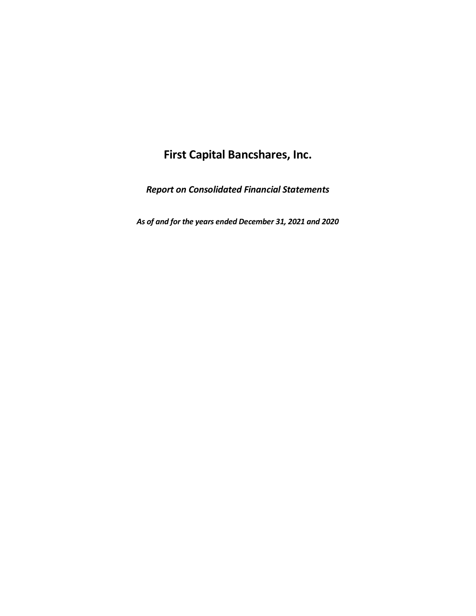*Report on Consolidated Financial Statements*

*As of and for the years ended December 31, 2021 and 2020*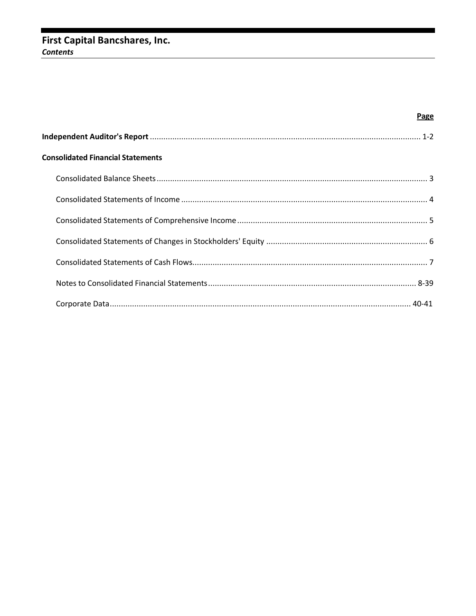# First Capital Bancshares, Inc. **Contents**

| <b>Page</b>                              |
|------------------------------------------|
|                                          |
| <b>Consolidated Financial Statements</b> |
|                                          |
|                                          |
|                                          |
|                                          |
|                                          |
|                                          |
|                                          |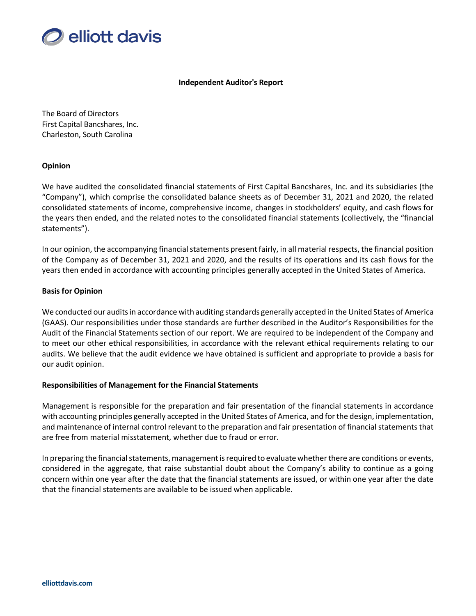

#### **Independent Auditor's Report**

The Board of Directors First Capital Bancshares, Inc. Charleston, South Carolina

## **Opinion**

We have audited the consolidated financial statements of First Capital Bancshares, Inc. and its subsidiaries (the "Company"), which comprise the consolidated balance sheets as of December 31, 2021 and 2020, the related consolidated statements of income, comprehensive income, changes in stockholders' equity, and cash flows for the years then ended, and the related notes to the consolidated financial statements (collectively, the "financial statements").

In our opinion, the accompanying financial statements present fairly, in all material respects, the financial position of the Company as of December 31, 2021 and 2020, and the results of its operations and its cash flows for the years then ended in accordance with accounting principles generally accepted in the United States of America.

## **Basis for Opinion**

We conducted our audits in accordance with auditing standards generally accepted in the United States of America (GAAS). Our responsibilities under those standards are further described in the Auditor's Responsibilities for the Audit of the Financial Statements section of our report. We are required to be independent of the Company and to meet our other ethical responsibilities, in accordance with the relevant ethical requirements relating to our audits. We believe that the audit evidence we have obtained is sufficient and appropriate to provide a basis for our audit opinion.

#### **Responsibilities of Management for the Financial Statements**

Management is responsible for the preparation and fair presentation of the financial statements in accordance with accounting principles generally accepted in the United States of America, and for the design, implementation, and maintenance of internal control relevant to the preparation and fair presentation of financial statements that are free from material misstatement, whether due to fraud or error.

In preparing the financial statements, management is required to evaluate whether there are conditions or events, considered in the aggregate, that raise substantial doubt about the Company's ability to continue as a going concern within one year after the date that the financial statements are issued, or within one year after the date that the financial statements are available to be issued when applicable.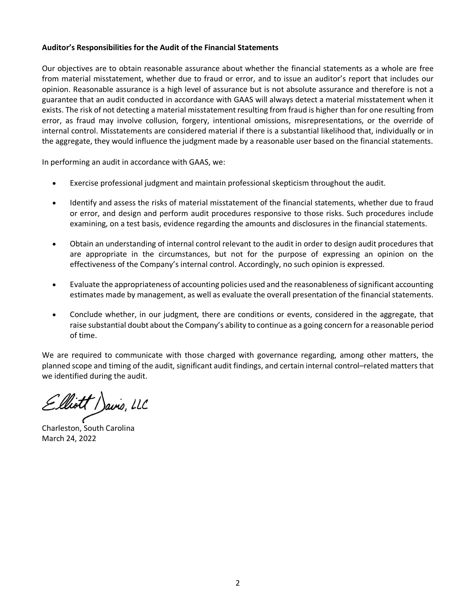## **Auditor's Responsibilities for the Audit of the Financial Statements**

Our objectives are to obtain reasonable assurance about whether the financial statements as a whole are free from material misstatement, whether due to fraud or error, and to issue an auditor's report that includes our opinion. Reasonable assurance is a high level of assurance but is not absolute assurance and therefore is not a guarantee that an audit conducted in accordance with GAAS will always detect a material misstatement when it exists. The risk of not detecting a material misstatement resulting from fraud is higher than for one resulting from error, as fraud may involve collusion, forgery, intentional omissions, misrepresentations, or the override of internal control. Misstatements are considered material if there is a substantial likelihood that, individually or in the aggregate, they would influence the judgment made by a reasonable user based on the financial statements.

In performing an audit in accordance with GAAS, we:

- Exercise professional judgment and maintain professional skepticism throughout the audit.
- Identify and assess the risks of material misstatement of the financial statements, whether due to fraud or error, and design and perform audit procedures responsive to those risks. Such procedures include examining, on a test basis, evidence regarding the amounts and disclosures in the financial statements.
- Obtain an understanding of internal control relevant to the audit in order to design audit procedures that are appropriate in the circumstances, but not for the purpose of expressing an opinion on the effectiveness of the Company's internal control. Accordingly, no such opinion is expressed.
- Evaluate the appropriateness of accounting policies used and the reasonableness of significant accounting estimates made by management, as well as evaluate the overall presentation of the financial statements.
- Conclude whether, in our judgment, there are conditions or events, considered in the aggregate, that raise substantial doubt about the Company's ability to continue as a going concern for a reasonable period of time.

We are required to communicate with those charged with governance regarding, among other matters, the planned scope and timing of the audit, significant audit findings, and certain internal control–related matters that we identified during the audit.

Elliott / Javis, LLC<br>Charleston, South Carolina

March 24, 2022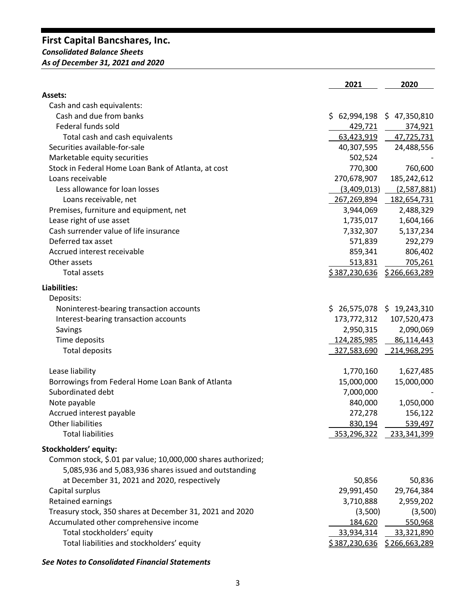# **First Capital Bancshares, Inc.** *Consolidated Balance Sheets As of December 31, 2021 and 2020*

|                                                              | 2021                         | 2020             |
|--------------------------------------------------------------|------------------------------|------------------|
| <b>Assets:</b>                                               |                              |                  |
| Cash and cash equivalents:                                   |                              |                  |
| Cash and due from banks                                      | \$62,994,198                 | 47,350,810<br>\$ |
| Federal funds sold                                           | 429,721                      | 374,921          |
| Total cash and cash equivalents                              | 63,423,919                   | 47,725,731       |
| Securities available-for-sale                                | 40,307,595                   | 24,488,556       |
| Marketable equity securities                                 | 502,524                      |                  |
| Stock in Federal Home Loan Bank of Atlanta, at cost          | 770,300                      | 760,600          |
| Loans receivable                                             | 270,678,907                  | 185,242,612      |
| Less allowance for loan losses                               | (3,409,013)                  | (2,587,881)      |
| Loans receivable, net                                        | 267,269,894                  | 182,654,731      |
| Premises, furniture and equipment, net                       | 3,944,069                    | 2,488,329        |
| Lease right of use asset                                     | 1,735,017                    | 1,604,166        |
| Cash surrender value of life insurance                       | 7,332,307                    | 5,137,234        |
| Deferred tax asset                                           | 571,839                      | 292,279          |
| Accrued interest receivable                                  | 859,341                      | 806,402          |
| Other assets                                                 | 513,831                      | 705,261          |
| <b>Total assets</b>                                          | <u>\$387,230,636</u>         | \$266,663,289    |
| Liabilities:                                                 |                              |                  |
| Deposits:                                                    |                              |                  |
| Noninterest-bearing transaction accounts                     | $$26,575,078$$ $$19,243,310$ |                  |
| Interest-bearing transaction accounts                        | 173,772,312                  | 107,520,473      |
| Savings                                                      | 2,950,315                    | 2,090,069        |
| Time deposits                                                | 124,285,985                  | 86,114,443       |
| <b>Total deposits</b>                                        | 327,583,690                  | 214,968,295      |
| Lease liability                                              | 1,770,160                    | 1,627,485        |
| Borrowings from Federal Home Loan Bank of Atlanta            | 15,000,000                   | 15,000,000       |
| Subordinated debt                                            | 7,000,000                    |                  |
| Note payable                                                 | 840,000                      | 1,050,000        |
| Accrued interest payable                                     | 272,278                      | 156,122          |
| Other liabilities                                            | 830,194                      | 539,497          |
| <b>Total liabilities</b>                                     | 353,296,322                  | 233,341,399      |
| Stockholders' equity:                                        |                              |                  |
| Common stock, \$.01 par value; 10,000,000 shares authorized; |                              |                  |
| 5,085,936 and 5,083,936 shares issued and outstanding        |                              |                  |
| at December 31, 2021 and 2020, respectively                  | 50,856                       | 50,836           |
| Capital surplus                                              | 29,991,450                   | 29,764,384       |
| <b>Retained earnings</b>                                     | 3,710,888                    | 2,959,202        |
| Treasury stock, 350 shares at December 31, 2021 and 2020     | (3,500)                      | (3,500)          |
| Accumulated other comprehensive income                       | 184,620                      | 550,968          |
| Total stockholders' equity                                   | 33,934,314                   | 33,321,890       |
| Total liabilities and stockholders' equity                   | <u>\$387,230,636</u>         | \$266,663,289    |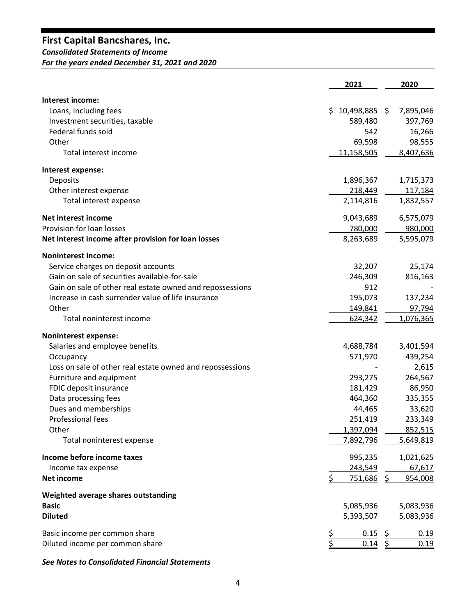# *Consolidated Statements of Income*

*For the years ended December 31, 2021 and 2020*

|                                                           | 2021           |           | 2020      |
|-----------------------------------------------------------|----------------|-----------|-----------|
| Interest income:                                          |                |           |           |
| Loans, including fees                                     | \$10,498,885   |           | 7,895,046 |
| Investment securities, taxable                            | 589,480        |           | 397,769   |
| Federal funds sold                                        | 542            |           | 16,266    |
| Other                                                     | 69,598         |           | 98,555    |
| Total interest income                                     | 11,158,505     |           | 8,407,636 |
| Interest expense:                                         |                |           |           |
| <b>Deposits</b>                                           | 1,896,367      |           | 1,715,373 |
| Other interest expense                                    | 218,449        |           | 117,184   |
| Total interest expense                                    | 2,114,816      |           | 1,832,557 |
| Net interest income                                       | 9,043,689      |           | 6,575,079 |
| Provision for loan losses                                 | 780,000        |           | 980,000   |
| Net interest income after provision for loan losses       | 8,263,689      |           | 5,595,079 |
| <b>Noninterest income:</b>                                |                |           |           |
| Service charges on deposit accounts                       | 32,207         |           | 25,174    |
| Gain on sale of securities available-for-sale             | 246,309        |           | 816,163   |
| Gain on sale of other real estate owned and repossessions | 912            |           |           |
| Increase in cash surrender value of life insurance        | 195,073        |           | 137,234   |
| Other                                                     | 149,841        |           | 97,794    |
| Total noninterest income                                  | 624,342        |           | 1,076,365 |
| <b>Noninterest expense:</b>                               |                |           |           |
| Salaries and employee benefits                            | 4,688,784      |           | 3,401,594 |
| Occupancy                                                 | 571,970        |           | 439,254   |
| Loss on sale of other real estate owned and repossessions |                |           | 2,615     |
| Furniture and equipment                                   | 293,275        |           | 264,567   |
| FDIC deposit insurance                                    | 181,429        |           | 86,950    |
| Data processing fees                                      | 464,360        |           | 335,355   |
| Dues and memberships                                      | 44,465         |           | 33,620    |
| <b>Professional fees</b>                                  | 251,419        |           | 233,349   |
| Other                                                     | 1,397,094      |           | 852,515   |
| Total noninterest expense                                 | 7,892,796      |           | 5,649,819 |
| Income before income taxes                                | 995,235        |           | 1,021,625 |
| Income tax expense                                        | 243,549        |           | 67,617    |
| <b>Net income</b>                                         | <u>751,686</u> |           | 954,008   |
| Weighted average shares outstanding                       |                |           |           |
| <b>Basic</b>                                              | 5,085,936      |           | 5,083,936 |
| <b>Diluted</b>                                            | 5,393,507      |           | 5,083,936 |
| Basic income per common share                             | <u>0.15</u>    | <u> ડ</u> | 0.19      |
| Diluted income per common share                           | <u>0.14 \$</u> |           | 0.19      |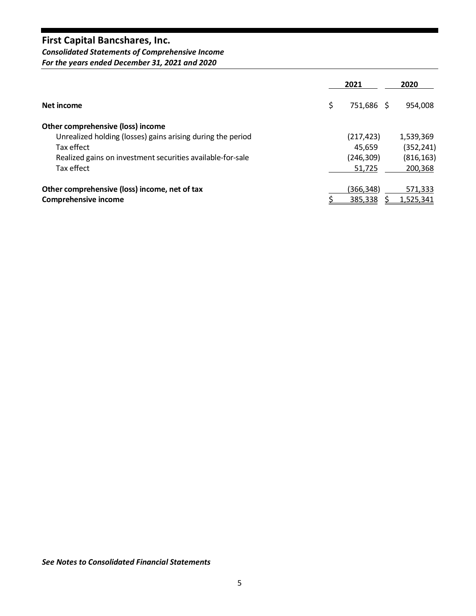*Consolidated Statements of Comprehensive Income For the years ended December 31, 2021 and 2020*

|                                                             | 2021             | 2020             |
|-------------------------------------------------------------|------------------|------------------|
| Net income                                                  | \$<br>751,686 \$ | 954,008          |
| Other comprehensive (loss) income                           |                  |                  |
| Unrealized holding (losses) gains arising during the period | (217, 423)       | 1,539,369        |
| Tax effect                                                  | 45.659           | (352, 241)       |
| Realized gains on investment securities available-for-sale  | (246, 309)       | (816, 163)       |
| Tax effect                                                  | 51,725           | 200,368          |
| Other comprehensive (loss) income, net of tax               | (366,348)        | 571,333          |
| <b>Comprehensive income</b>                                 | 385,338          | <u>1,525,341</u> |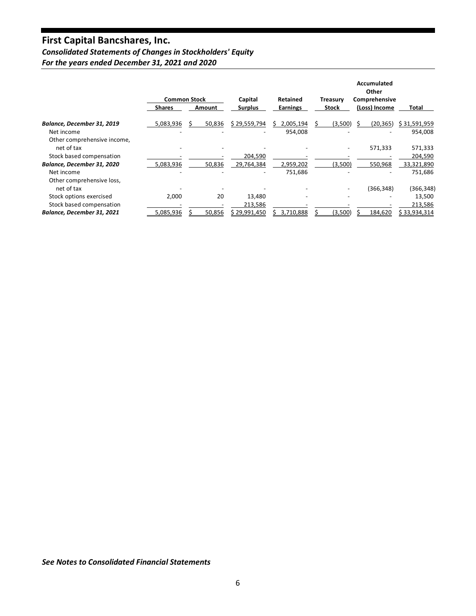# *Consolidated Statements of Changes in Stockholders' Equity*

*For the years ended December 31, 2021 and 2020*

|                             |               | <b>Common Stock</b> | Capital        | Retained        | <b>Treasury</b>          | Accumulated<br>Other<br>Comprehensive |              |
|-----------------------------|---------------|---------------------|----------------|-----------------|--------------------------|---------------------------------------|--------------|
|                             | <b>Shares</b> | Amount              | <b>Surplus</b> | <b>Earnings</b> | Stock                    | (Loss) Income                         | Total        |
| Balance, December 31, 2019  | 5,083,936     | 50,836              | \$29,559,794   | 2,005,194       | (3,500)                  | (20, 365)                             | \$31,591,959 |
| Net income                  |               |                     |                | 954,008         |                          |                                       | 954,008      |
| Other comprehensive income, |               |                     |                |                 |                          |                                       |              |
| net of tax                  |               |                     |                |                 | $\overline{\phantom{a}}$ | 571,333                               | 571,333      |
| Stock based compensation    |               |                     | 204,590        |                 |                          |                                       | 204,590      |
| Balance, December 31, 2020  | 5,083,936     | 50,836              | 29,764,384     | 2,959,202       | (3,500)                  | 550,968                               | 33,321,890   |
| Net income                  |               |                     | ۰              | 751,686         |                          |                                       | 751,686      |
| Other comprehensive loss,   |               |                     |                |                 |                          |                                       |              |
| net of tax                  |               |                     |                |                 |                          | (366, 348)                            | (366, 348)   |
| Stock options exercised     | 2,000         | 20                  | 13,480         |                 |                          |                                       | 13,500       |
| Stock based compensation    |               |                     | 213,586        |                 |                          |                                       | 213,586      |
| Balance, December 31, 2021  | 5,085,936     | 50,856              | \$29,991,450   | 3,710,888       | (3,500)                  | 184,620                               | \$33,934,314 |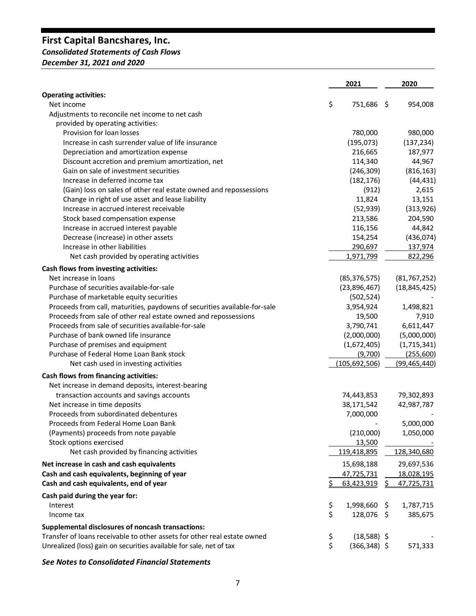# *Consolidated Statements of Cash Flows*

*December 31, 2021 and 2020*

|                                                                                | 2021                  |      | 2020           |
|--------------------------------------------------------------------------------|-----------------------|------|----------------|
| <b>Operating activities:</b>                                                   |                       |      |                |
| Net income                                                                     | \$<br>751,686         | - \$ | 954,008        |
| Adjustments to reconcile net income to net cash                                |                       |      |                |
| provided by operating activities:                                              |                       |      |                |
| Provision for loan losses                                                      | 780,000               |      | 980,000        |
| Increase in cash surrender value of life insurance                             | (195, 073)            |      | (137, 234)     |
| Depreciation and amortization expense                                          | 216,665               |      | 187,977        |
| Discount accretion and premium amortization, net                               | 114,340               |      | 44,967         |
| Gain on sale of investment securities                                          | (246, 309)            |      | (816, 163)     |
| Increase in deferred income tax                                                | (182, 176)            |      | (44, 431)      |
| (Gain) loss on sales of other real estate owned and repossessions              | (912)                 |      | 2,615          |
| Change in right of use asset and lease liability                               | 11,824                |      | 13,151         |
| Increase in accrued interest receivable                                        | (52, 939)             |      | (313,926)      |
| Stock based compensation expense                                               | 213,586               |      | 204,590        |
| Increase in accrued interest payable                                           | 116,156               |      | 44,842         |
| Decrease (increase) in other assets                                            | 154,254               |      | (436, 074)     |
| Increase in other liabilities                                                  | 290,697               |      | 137,974        |
| Net cash provided by operating activities                                      | 1,971,799             |      | 822,296        |
| Cash flows from investing activities:                                          |                       |      |                |
| Net increase in loans                                                          | (85, 376, 575)        |      | (81, 767, 252) |
| Purchase of securities available-for-sale                                      | (23,896,467)          |      | (18, 845, 425) |
| Purchase of marketable equity securities                                       | (502, 524)            |      |                |
| Proceeds from call, maturities, paydowns of securities available-for-sale      | 3,954,924             |      | 1,498,821      |
| Proceeds from sale of other real estate owned and repossessions                | 19,500                |      | 7,910          |
| Proceeds from sale of securities available-for-sale                            | 3,790,741             |      | 6,611,447      |
| Purchase of bank owned life insurance                                          | (2,000,000)           |      | (5,000,000)    |
| Purchase of premises and equipment                                             | (1,672,405)           |      | (1,715,341)    |
| Purchase of Federal Home Loan Bank stock                                       | (9,700)               |      | (255,600)      |
|                                                                                |                       |      |                |
| Net cash used in investing activities<br>Cash flows from financing activities: | (105, 692, 506)       |      | (99, 465, 440) |
|                                                                                |                       |      |                |
| Net increase in demand deposits, interest-bearing                              |                       |      |                |
| transaction accounts and savings accounts                                      | 74,443,853            |      | 79,302,893     |
| Net increase in time deposits                                                  | 38,171,542            |      | 42,987,787     |
| Proceeds from subordinated debentures                                          | 7,000,000             |      |                |
| Proceeds from Federal Home Loan Bank                                           |                       |      | 5,000,000      |
| (Payments) proceeds from note payable                                          | (210,000)             |      | 1,050,000      |
| Stock options exercised                                                        | 13,500                |      |                |
| Net cash provided by financing activities                                      | 119,418,895           |      | 128,340,680    |
| Net increase in cash and cash equivalents                                      | 15,698,188            |      | 29,697,536     |
| Cash and cash equivalents, beginning of year                                   | 47,725,731            |      | 18,028,195     |
| Cash and cash equivalents, end of year                                         | 63,423,919            | S    | 47,725,731     |
| Cash paid during the year for:                                                 |                       |      |                |
| Interest                                                                       | \$<br>1,998,660       | -\$  | 1,787,715      |
| Income tax                                                                     | \$<br>128,076 \$      |      | 385,675        |
| <b>Supplemental disclosures of noncash transactions:</b>                       |                       |      |                |
| Transfer of loans receivable to other assets for other real estate owned       | \$<br>$(18,588)$ \$   |      |                |
| Unrealized (loss) gain on securities available for sale, net of tax            | \$<br>$(366, 348)$ \$ |      | 571,333        |
|                                                                                |                       |      |                |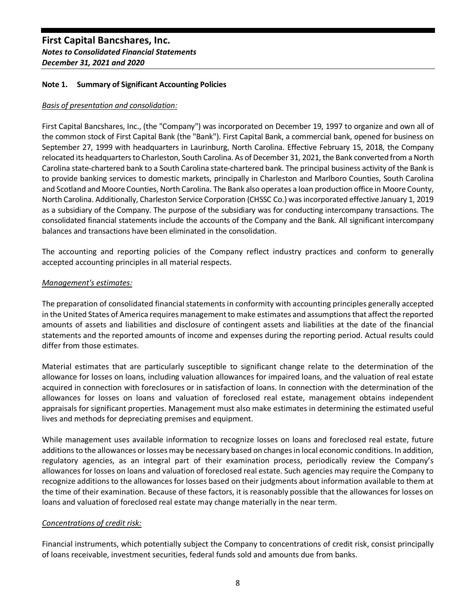## **Note 1. Summary of Significant Accounting Policies**

## *Basis of presentation and consolidation:*

First Capital Bancshares, Inc., (the "Company") was incorporated on December 19, 1997 to organize and own all of the common stock of First Capital Bank (the "Bank"). First Capital Bank, a commercial bank, opened for business on September 27, 1999 with headquarters in Laurinburg, North Carolina. Effective February 15, 2018, the Company relocated its headquarters to Charleston, South Carolina. As of December 31, 2021, the Bank converted from a North Carolina state-chartered bank to a South Carolina state-chartered bank. The principal business activity of the Bank is to provide banking services to domestic markets, principally in Charleston and Marlboro Counties, South Carolina and Scotland and Moore Counties, North Carolina. The Bank also operates a loan production office in Moore County, North Carolina. Additionally, Charleston Service Corporation (CHSSC Co.) was incorporated effective January 1, 2019 as a subsidiary of the Company. The purpose of the subsidiary was for conducting intercompany transactions. The consolidated financial statements include the accounts of the Company and the Bank. All significant intercompany balances and transactions have been eliminated in the consolidation.

The accounting and reporting policies of the Company reflect industry practices and conform to generally accepted accounting principles in all material respects.

## *Management's estimates:*

The preparation of consolidated financial statements in conformity with accounting principles generally accepted in the United States of America requires management to make estimates and assumptions that affect the reported amounts of assets and liabilities and disclosure of contingent assets and liabilities at the date of the financial statements and the reported amounts of income and expenses during the reporting period. Actual results could differ from those estimates.

Material estimates that are particularly susceptible to significant change relate to the determination of the allowance for losses on loans, including valuation allowances for impaired loans, and the valuation of real estate acquired in connection with foreclosures or in satisfaction of loans. In connection with the determination of the allowances for losses on loans and valuation of foreclosed real estate, management obtains independent appraisals for significant properties. Management must also make estimates in determining the estimated useful lives and methods for depreciating premises and equipment.

While management uses available information to recognize losses on loans and foreclosed real estate, future additions to the allowances or losses may be necessary based on changes in local economic conditions. In addition, regulatory agencies, as an integral part of their examination process, periodically review the Company's allowances for losses on loans and valuation of foreclosed real estate. Such agencies may require the Company to recognize additions to the allowances for losses based on their judgments about information available to them at the time of their examination. Because of these factors, it is reasonably possible that the allowances for losses on loans and valuation of foreclosed real estate may change materially in the near term.

## *Concentrations of credit risk:*

Financial instruments, which potentially subject the Company to concentrations of credit risk, consist principally of loans receivable, investment securities, federal funds sold and amounts due from banks.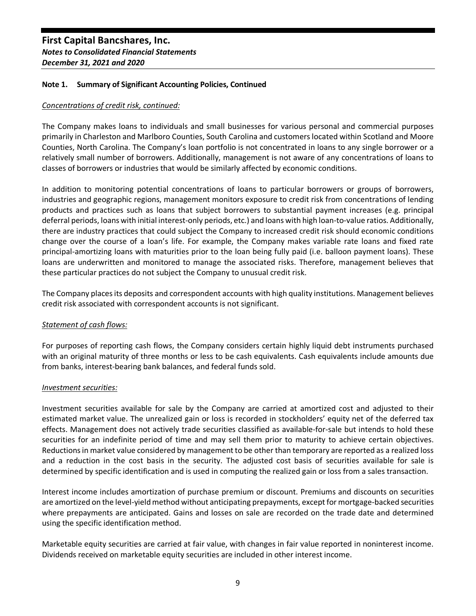## **Note 1. Summary of Significant Accounting Policies, Continued**

## *Concentrations of credit risk, continued:*

The Company makes loans to individuals and small businesses for various personal and commercial purposes primarily in Charleston and Marlboro Counties, South Carolina and customers located within Scotland and Moore Counties, North Carolina. The Company's loan portfolio is not concentrated in loans to any single borrower or a relatively small number of borrowers. Additionally, management is not aware of any concentrations of loans to classes of borrowers or industries that would be similarly affected by economic conditions.

In addition to monitoring potential concentrations of loans to particular borrowers or groups of borrowers, industries and geographic regions, management monitors exposure to credit risk from concentrations of lending products and practices such as loans that subject borrowers to substantial payment increases (e.g. principal deferral periods, loans with initial interest-only periods, etc.) and loans with high loan-to-value ratios. Additionally, there are industry practices that could subject the Company to increased credit risk should economic conditions change over the course of a loan's life. For example, the Company makes variable rate loans and fixed rate principal-amortizing loans with maturities prior to the loan being fully paid (i.e. balloon payment loans). These loans are underwritten and monitored to manage the associated risks. Therefore, management believes that these particular practices do not subject the Company to unusual credit risk.

The Company places its deposits and correspondent accounts with high quality institutions. Management believes credit risk associated with correspondent accounts is not significant.

## *Statement of cash flows:*

For purposes of reporting cash flows, the Company considers certain highly liquid debt instruments purchased with an original maturity of three months or less to be cash equivalents. Cash equivalents include amounts due from banks, interest-bearing bank balances, and federal funds sold.

#### *Investment securities:*

Investment securities available for sale by the Company are carried at amortized cost and adjusted to their estimated market value. The unrealized gain or loss is recorded in stockholders' equity net of the deferred tax effects. Management does not actively trade securities classified as available-for-sale but intends to hold these securities for an indefinite period of time and may sell them prior to maturity to achieve certain objectives. Reductions in market value considered by management to be other than temporary are reported as a realized loss and a reduction in the cost basis in the security. The adjusted cost basis of securities available for sale is determined by specific identification and is used in computing the realized gain or loss from a sales transaction.

Interest income includes amortization of purchase premium or discount. Premiums and discounts on securities are amortized on the level-yield method without anticipating prepayments, except for mortgage-backed securities where prepayments are anticipated. Gains and losses on sale are recorded on the trade date and determined using the specific identification method.

Marketable equity securities are carried at fair value, with changes in fair value reported in noninterest income. Dividends received on marketable equity securities are included in other interest income.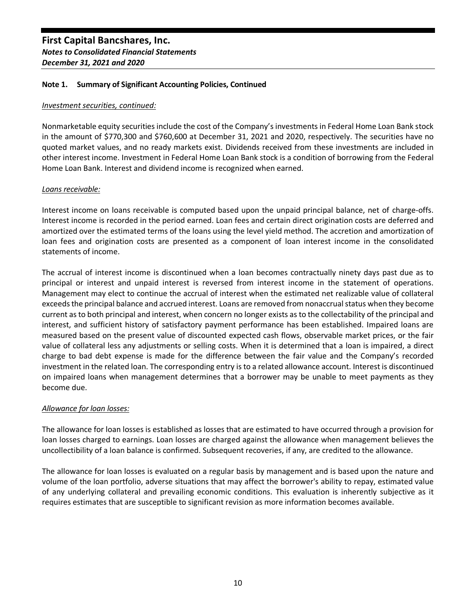#### *Investment securities, continued:*

Nonmarketable equity securities include the cost of the Company's investments in Federal Home Loan Bank stock in the amount of \$770,300 and \$760,600 at December 31, 2021 and 2020, respectively. The securities have no quoted market values, and no ready markets exist. Dividends received from these investments are included in other interest income. Investment in Federal Home Loan Bank stock is a condition of borrowing from the Federal Home Loan Bank. Interest and dividend income is recognized when earned.

## *Loans receivable:*

Interest income on loans receivable is computed based upon the unpaid principal balance, net of charge-offs. Interest income is recorded in the period earned. Loan fees and certain direct origination costs are deferred and amortized over the estimated terms of the loans using the level yield method. The accretion and amortization of loan fees and origination costs are presented as a component of loan interest income in the consolidated statements of income.

The accrual of interest income is discontinued when a loan becomes contractually ninety days past due as to principal or interest and unpaid interest is reversed from interest income in the statement of operations. Management may elect to continue the accrual of interest when the estimated net realizable value of collateral exceeds the principal balance and accrued interest. Loans are removed from nonaccrual status when they become current as to both principal and interest, when concern no longer exists as to the collectability of the principal and interest, and sufficient history of satisfactory payment performance has been established. Impaired loans are measured based on the present value of discounted expected cash flows, observable market prices, or the fair value of collateral less any adjustments or selling costs. When it is determined that a loan is impaired, a direct charge to bad debt expense is made for the difference between the fair value and the Company's recorded investment in the related loan. The corresponding entry is to a related allowance account. Interest is discontinued on impaired loans when management determines that a borrower may be unable to meet payments as they become due.

## *Allowance for loan losses:*

The allowance for loan losses is established as losses that are estimated to have occurred through a provision for loan losses charged to earnings. Loan losses are charged against the allowance when management believes the uncollectibility of a loan balance is confirmed. Subsequent recoveries, if any, are credited to the allowance.

The allowance for loan losses is evaluated on a regular basis by management and is based upon the nature and volume of the loan portfolio, adverse situations that may affect the borrower's ability to repay, estimated value of any underlying collateral and prevailing economic conditions. This evaluation is inherently subjective as it requires estimates that are susceptible to significant revision as more information becomes available.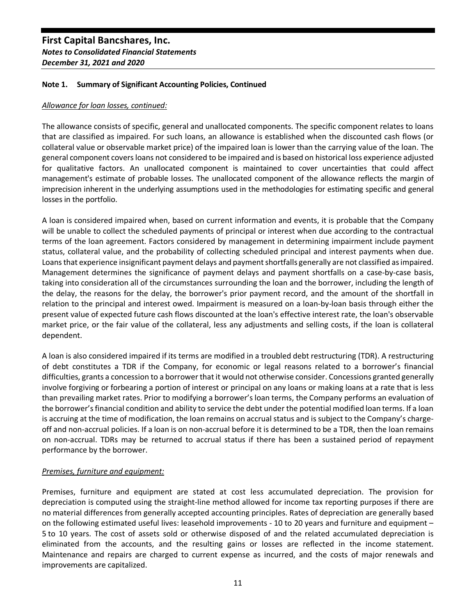## **Note 1. Summary of Significant Accounting Policies, Continued**

#### *Allowance for loan losses, continued:*

The allowance consists of specific, general and unallocated components. The specific component relates to loans that are classified as impaired. For such loans, an allowance is established when the discounted cash flows (or collateral value or observable market price) of the impaired loan is lower than the carrying value of the loan. The general component covers loans not considered to be impaired and is based on historical loss experience adjusted for qualitative factors. An unallocated component is maintained to cover uncertainties that could affect management's estimate of probable losses. The unallocated component of the allowance reflects the margin of imprecision inherent in the underlying assumptions used in the methodologies for estimating specific and general losses in the portfolio.

A loan is considered impaired when, based on current information and events, it is probable that the Company will be unable to collect the scheduled payments of principal or interest when due according to the contractual terms of the loan agreement. Factors considered by management in determining impairment include payment status, collateral value, and the probability of collecting scheduled principal and interest payments when due. Loans that experience insignificant payment delays and payment shortfalls generally are not classified as impaired. Management determines the significance of payment delays and payment shortfalls on a case-by-case basis, taking into consideration all of the circumstances surrounding the loan and the borrower, including the length of the delay, the reasons for the delay, the borrower's prior payment record, and the amount of the shortfall in relation to the principal and interest owed. Impairment is measured on a loan-by-loan basis through either the present value of expected future cash flows discounted at the loan's effective interest rate, the loan's observable market price, or the fair value of the collateral, less any adjustments and selling costs, if the loan is collateral dependent.

A loan is also considered impaired if its terms are modified in a troubled debt restructuring (TDR). A restructuring of debt constitutes a TDR if the Company, for economic or legal reasons related to a borrower's financial difficulties, grants a concession to a borrower that it would not otherwise consider. Concessions granted generally involve forgiving or forbearing a portion of interest or principal on any loans or making loans at a rate that is less than prevailing market rates. Prior to modifying a borrower's loan terms, the Company performs an evaluation of the borrower's financial condition and ability to service the debt under the potential modified loan terms. If a loan is accruing at the time of modification, the loan remains on accrual status and is subject to the Company's chargeoff and non-accrual policies. If a loan is on non-accrual before it is determined to be a TDR, then the loan remains on non-accrual. TDRs may be returned to accrual status if there has been a sustained period of repayment performance by the borrower.

## *Premises, furniture and equipment:*

Premises, furniture and equipment are stated at cost less accumulated depreciation. The provision for depreciation is computed using the straight-line method allowed for income tax reporting purposes if there are no material differences from generally accepted accounting principles. Rates of depreciation are generally based on the following estimated useful lives: leasehold improvements - 10 to 20 years and furniture and equipment – 5 to 10 years. The cost of assets sold or otherwise disposed of and the related accumulated depreciation is eliminated from the accounts, and the resulting gains or losses are reflected in the income statement. Maintenance and repairs are charged to current expense as incurred, and the costs of major renewals and improvements are capitalized.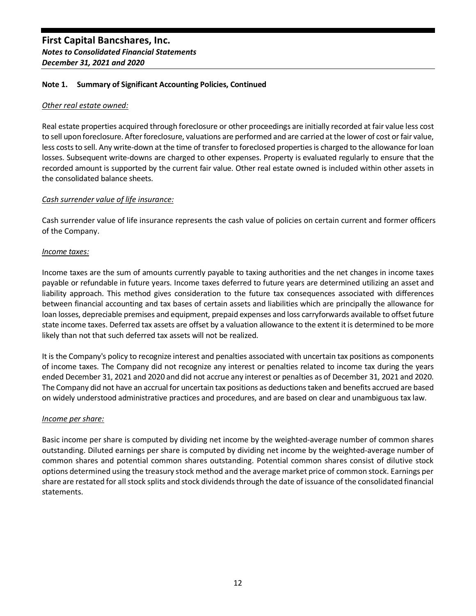#### *Other real estate owned:*

Real estate properties acquired through foreclosure or other proceedings are initially recorded at fair value less cost to sell upon foreclosure. After foreclosure, valuations are performed and are carried at the lower of cost or fair value, less costs to sell. Any write-down at the time of transfer to foreclosed properties is charged to the allowance for loan losses. Subsequent write-downs are charged to other expenses. Property is evaluated regularly to ensure that the recorded amount is supported by the current fair value. Other real estate owned is included within other assets in the consolidated balance sheets.

## *Cash surrender value of life insurance:*

Cash surrender value of life insurance represents the cash value of policies on certain current and former officers of the Company.

## *Income taxes:*

Income taxes are the sum of amounts currently payable to taxing authorities and the net changes in income taxes payable or refundable in future years. Income taxes deferred to future years are determined utilizing an asset and liability approach. This method gives consideration to the future tax consequences associated with differences between financial accounting and tax bases of certain assets and liabilities which are principally the allowance for loan losses, depreciable premises and equipment, prepaid expenses and loss carryforwards available to offset future state income taxes. Deferred tax assets are offset by a valuation allowance to the extent it is determined to be more likely than not that such deferred tax assets will not be realized.

It is the Company's policy to recognize interest and penalties associated with uncertain tax positions as components of income taxes. The Company did not recognize any interest or penalties related to income tax during the years ended December 31, 2021 and 2020 and did not accrue any interest or penalties as of December 31, 2021 and 2020. The Company did not have an accrual for uncertain tax positions as deductions taken and benefits accrued are based on widely understood administrative practices and procedures, and are based on clear and unambiguous tax law.

## *Income per share:*

Basic income per share is computed by dividing net income by the weighted-average number of common shares outstanding. Diluted earnings per share is computed by dividing net income by the weighted-average number of common shares and potential common shares outstanding. Potential common shares consist of dilutive stock options determined using the treasury stock method and the average market price of common stock. Earnings per share are restated for all stock splits and stock dividends through the date of issuance of the consolidated financial statements.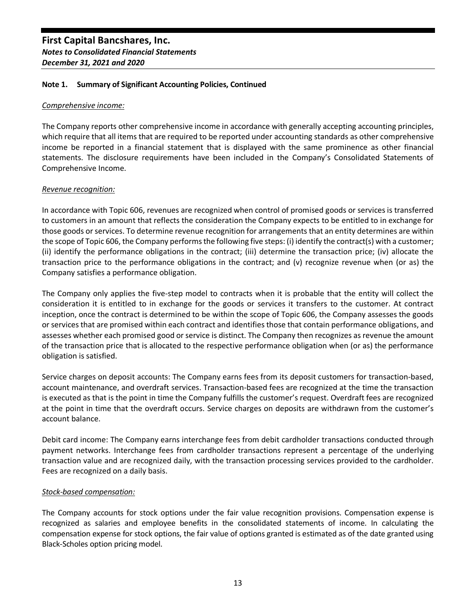#### *Comprehensive income:*

The Company reports other comprehensive income in accordance with generally accepting accounting principles, which require that all items that are required to be reported under accounting standards as other comprehensive income be reported in a financial statement that is displayed with the same prominence as other financial statements. The disclosure requirements have been included in the Company's Consolidated Statements of Comprehensive Income.

## *Revenue recognition:*

In accordance with Topic 606, revenues are recognized when control of promised goods or services is transferred to customers in an amount that reflects the consideration the Company expects to be entitled to in exchange for those goods or services. To determine revenue recognition for arrangements that an entity determines are within the scope of Topic 606, the Company performs the following five steps: (i) identify the contract(s) with a customer; (ii) identify the performance obligations in the contract; (iii) determine the transaction price; (iv) allocate the transaction price to the performance obligations in the contract; and (v) recognize revenue when (or as) the Company satisfies a performance obligation.

The Company only applies the five-step model to contracts when it is probable that the entity will collect the consideration it is entitled to in exchange for the goods or services it transfers to the customer. At contract inception, once the contract is determined to be within the scope of Topic 606, the Company assesses the goods or services that are promised within each contract and identifies those that contain performance obligations, and assesses whether each promised good or service is distinct. The Company then recognizes as revenue the amount of the transaction price that is allocated to the respective performance obligation when (or as) the performance obligation is satisfied.

Service charges on deposit accounts: The Company earns fees from its deposit customers for transaction-based, account maintenance, and overdraft services. Transaction-based fees are recognized at the time the transaction is executed as that is the point in time the Company fulfills the customer's request. Overdraft fees are recognized at the point in time that the overdraft occurs. Service charges on deposits are withdrawn from the customer's account balance.

Debit card income: The Company earns interchange fees from debit cardholder transactions conducted through payment networks. Interchange fees from cardholder transactions represent a percentage of the underlying transaction value and are recognized daily, with the transaction processing services provided to the cardholder. Fees are recognized on a daily basis.

## *Stock-based compensation:*

The Company accounts for stock options under the fair value recognition provisions. Compensation expense is recognized as salaries and employee benefits in the consolidated statements of income. In calculating the compensation expense for stock options, the fair value of options granted is estimated as of the date granted using Black-Scholes option pricing model.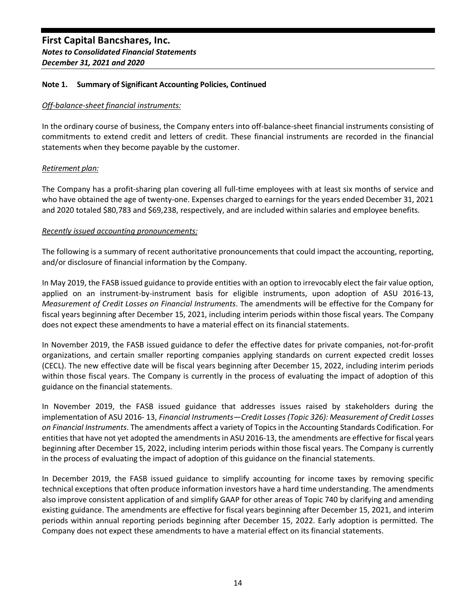## *Off-balance-sheet financial instruments:*

In the ordinary course of business, the Company enters into off-balance-sheet financial instruments consisting of commitments to extend credit and letters of credit. These financial instruments are recorded in the financial statements when they become payable by the customer.

## *Retirement plan:*

The Company has a profit-sharing plan covering all full-time employees with at least six months of service and who have obtained the age of twenty-one. Expenses charged to earnings for the years ended December 31, 2021 and 2020 totaled \$80,783 and \$69,238, respectively, and are included within salaries and employee benefits.

## *Recently issued accounting pronouncements:*

The following is a summary of recent authoritative pronouncements that could impact the accounting, reporting, and/or disclosure of financial information by the Company.

In May 2019, the FASB issued guidance to provide entities with an option to irrevocably elect the fair value option, applied on an instrument-by-instrument basis for eligible instruments, upon adoption of ASU 2016-13, *Measurement of Credit Losses on Financial Instruments*. The amendments will be effective for the Company for fiscal years beginning after December 15, 2021, including interim periods within those fiscal years. The Company does not expect these amendments to have a material effect on its financial statements.

In November 2019, the FASB issued guidance to defer the effective dates for private companies, not-for-profit organizations, and certain smaller reporting companies applying standards on current expected credit losses (CECL). The new effective date will be fiscal years beginning after December 15, 2022, including interim periods within those fiscal years. The Company is currently in the process of evaluating the impact of adoption of this guidance on the financial statements.

In November 2019, the FASB issued guidance that addresses issues raised by stakeholders during the implementation of ASU 2016- 13, *Financial Instruments—Credit Losses (Topic 326): Measurement of Credit Losses on Financial Instruments*. The amendments affect a variety of Topics in the Accounting Standards Codification. For entities that have not yet adopted the amendments in ASU 2016-13, the amendments are effective for fiscal years beginning after December 15, 2022, including interim periods within those fiscal years. The Company is currently in the process of evaluating the impact of adoption of this guidance on the financial statements.

In December 2019, the FASB issued guidance to simplify accounting for income taxes by removing specific technical exceptions that often produce information investors have a hard time understanding. The amendments also improve consistent application of and simplify GAAP for other areas of Topic 740 by clarifying and amending existing guidance. The amendments are effective for fiscal years beginning after December 15, 2021, and interim periods within annual reporting periods beginning after December 15, 2022. Early adoption is permitted. The Company does not expect these amendments to have a material effect on its financial statements.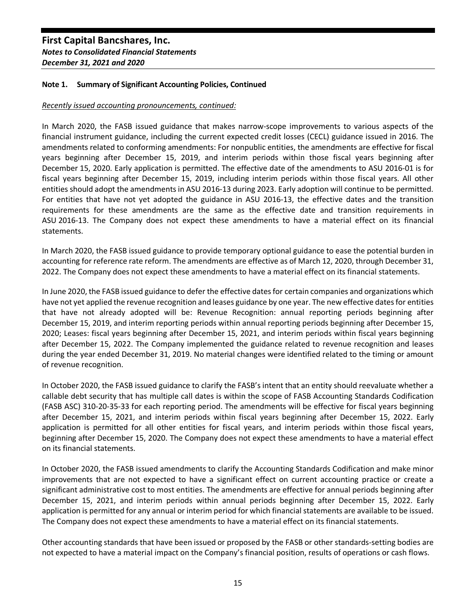## **Note 1. Summary of Significant Accounting Policies, Continued**

#### *Recently issued accounting pronouncements, continued:*

In March 2020, the FASB issued guidance that makes narrow-scope improvements to various aspects of the financial instrument guidance, including the current expected credit losses (CECL) guidance issued in 2016. The amendments related to conforming amendments: For nonpublic entities, the amendments are effective for fiscal years beginning after December 15, 2019, and interim periods within those fiscal years beginning after December 15, 2020. Early application is permitted. The effective date of the amendments to ASU 2016-01 is for fiscal years beginning after December 15, 2019, including interim periods within those fiscal years. All other entities should adopt the amendments in ASU 2016-13 during 2023. Early adoption will continue to be permitted. For entities that have not yet adopted the guidance in ASU 2016-13, the effective dates and the transition requirements for these amendments are the same as the effective date and transition requirements in ASU 2016-13. The Company does not expect these amendments to have a material effect on its financial statements.

In March 2020, the FASB issued guidance to provide temporary optional guidance to ease the potential burden in accounting for reference rate reform. The amendments are effective as of March 12, 2020, through December 31, 2022. The Company does not expect these amendments to have a material effect on its financial statements.

In June 2020, the FASB issued guidance to defer the effective dates for certain companies and organizations which have not yet applied the revenue recognition and leases guidance by one year. The new effective dates for entities that have not already adopted will be: Revenue Recognition: annual reporting periods beginning after December 15, 2019, and interim reporting periods within annual reporting periods beginning after December 15, 2020; Leases: fiscal years beginning after December 15, 2021, and interim periods within fiscal years beginning after December 15, 2022. The Company implemented the guidance related to revenue recognition and leases during the year ended December 31, 2019. No material changes were identified related to the timing or amount of revenue recognition.

In October 2020, the FASB issued guidance to clarify the FASB's intent that an entity should reevaluate whether a callable debt security that has multiple call dates is within the scope of FASB Accounting Standards Codification (FASB ASC) 310-20-35-33 for each reporting period. The amendments will be effective for fiscal years beginning after December 15, 2021, and interim periods within fiscal years beginning after December 15, 2022. Early application is permitted for all other entities for fiscal years, and interim periods within those fiscal years, beginning after December 15, 2020. The Company does not expect these amendments to have a material effect on its financial statements.

In October 2020, the FASB issued amendments to clarify the Accounting Standards Codification and make minor improvements that are not expected to have a significant effect on current accounting practice or create a significant administrative cost to most entities. The amendments are effective for annual periods beginning after December 15, 2021, and interim periods within annual periods beginning after December 15, 2022. Early application is permitted for any annual or interim period for which financial statements are available to be issued. The Company does not expect these amendments to have a material effect on its financial statements.

Other accounting standards that have been issued or proposed by the FASB or other standards-setting bodies are not expected to have a material impact on the Company's financial position, results of operations or cash flows.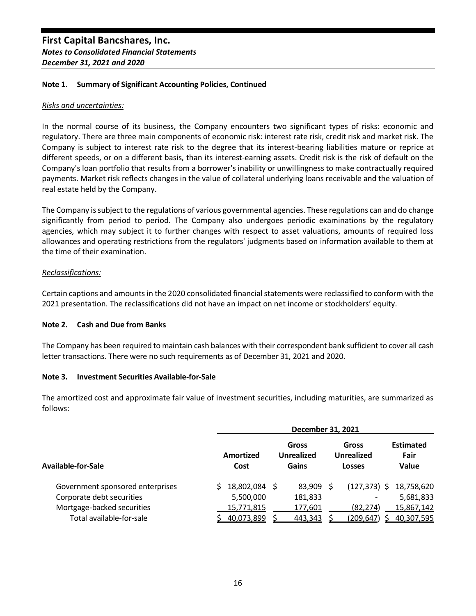#### *Risks and uncertainties:*

In the normal course of its business, the Company encounters two significant types of risks: economic and regulatory. There are three main components of economic risk: interest rate risk, credit risk and market risk. The Company is subject to interest rate risk to the degree that its interest-bearing liabilities mature or reprice at different speeds, or on a different basis, than its interest-earning assets. Credit risk is the risk of default on the Company's loan portfolio that results from a borrower's inability or unwillingness to make contractually required payments. Market risk reflects changes in the value of collateral underlying loans receivable and the valuation of real estate held by the Company.

The Company is subject to the regulations of various governmental agencies. These regulations can and do change significantly from period to period. The Company also undergoes periodic examinations by the regulatory agencies, which may subject it to further changes with respect to asset valuations, amounts of required loss allowances and operating restrictions from the regulators' judgments based on information available to them at the time of their examination.

## *Reclassifications:*

Certain captions and amounts in the 2020 consolidated financial statements were reclassified to conform with the 2021 presentation. The reclassifications did not have an impact on net income or stockholders' equity.

#### **Note 2. Cash and Due from Banks**

The Company has been required to maintain cash balances with their correspondent bank sufficient to cover all cash letter transactions. There were no such requirements as of December 31, 2021 and 2020.

#### **Note 3. Investment Securities Available-for-Sale**

The amortized cost and approximate fair value of investment securities, including maturities, are summarized as follows:

|                                  |  | December 31, 2021 |                                     |          |                                             |                 |  |                                   |  |  |  |  |  |
|----------------------------------|--|-------------------|-------------------------------------|----------|---------------------------------------------|-----------------|--|-----------------------------------|--|--|--|--|--|
| Available-for-Sale               |  | Amortized<br>Cost | Gross<br><b>Unrealized</b><br>Gains |          | Gross<br><b>Unrealized</b><br><b>Losses</b> |                 |  | <b>Estimated</b><br>Fair<br>Value |  |  |  |  |  |
| Government sponsored enterprises |  | 18,802,084        |                                     | 83.909 S |                                             | $(127, 373)$ \$ |  | 18,758,620                        |  |  |  |  |  |
| Corporate debt securities        |  | 5,500,000         |                                     | 181,833  |                                             |                 |  | 5,681,833                         |  |  |  |  |  |
| Mortgage-backed securities       |  | 15,771,815        |                                     | 177,601  |                                             | (82.274)        |  | 15,867,142                        |  |  |  |  |  |
| Total available-for-sale         |  | 40,073,899        |                                     | 443,343  |                                             | (209,647)       |  | 40,307,595                        |  |  |  |  |  |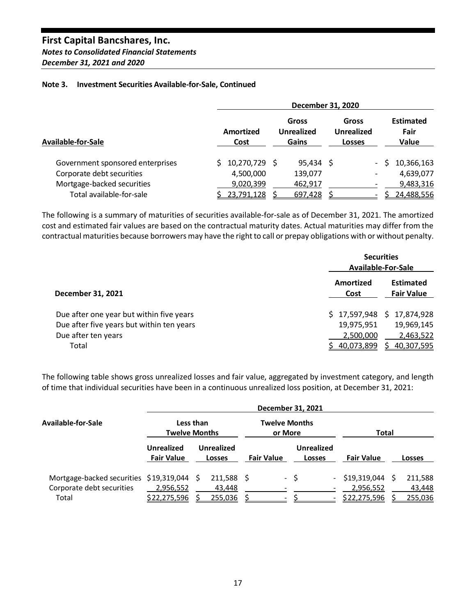# **First Capital Bancshares, Inc.** *Notes to Consolidated Financial Statements*

# *December 31, 2021 and 2020*

## **Note 3. Investment Securities Available-for-Sale, Continued**

|                                  | December 31, 2020 |                   |  |                                     |  |                                             |        |                                   |  |  |  |  |
|----------------------------------|-------------------|-------------------|--|-------------------------------------|--|---------------------------------------------|--------|-----------------------------------|--|--|--|--|
| Available-for-Sale               |                   | Amortized<br>Cost |  | Gross<br><b>Unrealized</b><br>Gains |  | Gross<br><b>Unrealized</b><br><b>Losses</b> |        | <b>Estimated</b><br>Fair<br>Value |  |  |  |  |
| Government sponsored enterprises |                   | $$10,270,729$ \$  |  | $95,434$ \$                         |  |                                             | $\sim$ | 10,366,163                        |  |  |  |  |
| Corporate debt securities        |                   | 4,500,000         |  | 139,077                             |  |                                             |        | 4,639,077                         |  |  |  |  |
| Mortgage-backed securities       |                   | 9,020,399         |  | 462,917                             |  |                                             |        | 9,483,316                         |  |  |  |  |
| Total available-for-sale         |                   | 23,791,128        |  | 697,428                             |  |                                             |        | 24,488,556                        |  |  |  |  |

The following is a summary of maturities of securities available-for-sale as of December 31, 2021. The amortized cost and estimated fair values are based on the contractual maturity dates. Actual maturities may differ from the contractual maturities because borrowers may have the right to call or prepay obligations with or without penalty.

|                                           | <b>Securities</b><br>Available-For-Sale |                                       |
|-------------------------------------------|-----------------------------------------|---------------------------------------|
| December 31, 2021                         | Amortized<br>Cost                       | <b>Estimated</b><br><b>Fair Value</b> |
| Due after one year but within five years  | \$17,597,948                            | 17,874,928<br>S.                      |
| Due after five years but within ten years | 19,975,951                              | 19,969,145                            |
| Due after ten years                       | 2,500,000                               | 2,463,522                             |
| Total                                     | 40,073,899                              | <u>40,307,595</u>                     |

The following table shows gross unrealized losses and fair value, aggregated by investment category, and length of time that individual securities have been in a continuous unrealized loss position, at December 31, 2021:

|                                                                      | December 31, 2021                      |                                    |                                 |                             |                             |                        |  |  |  |  |  |  |
|----------------------------------------------------------------------|----------------------------------------|------------------------------------|---------------------------------|-----------------------------|-----------------------------|------------------------|--|--|--|--|--|--|
| Available-for-Sale                                                   |                                        | Less than<br><b>Twelve Months</b>  | <b>Twelve Months</b><br>or More |                             | <b>Total</b>                |                        |  |  |  |  |  |  |
|                                                                      | <b>Unrealized</b><br><b>Fair Value</b> | <b>Unrealized</b><br><b>Losses</b> | <b>Fair Value</b>               | Unrealized<br><b>Losses</b> | <b>Fair Value</b>           | <b>Losses</b>          |  |  |  |  |  |  |
| Mortgage-backed securities \$19,319,044<br>Corporate debt securities | 2,956,552                              | $211,588$ \$<br>- S<br>43.448      |                                 | - \$                        | - \$19,319,044<br>2,956,552 | 211,588<br>S<br>43,448 |  |  |  |  |  |  |
| Total                                                                | \$22,275,596                           | 255,036                            |                                 |                             | \$22,275,596                | 255,036                |  |  |  |  |  |  |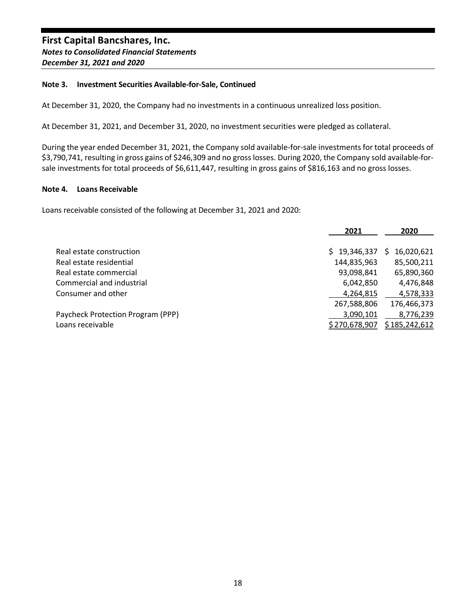## **Note 3. Investment Securities Available-for-Sale, Continued**

At December 31, 2020, the Company had no investments in a continuous unrealized loss position.

At December 31, 2021, and December 31, 2020, no investment securities were pledged as collateral.

During the year ended December 31, 2021, the Company sold available-for-sale investments for total proceeds of \$3,790,741, resulting in gross gains of \$246,309 and no gross losses. During 2020, the Company sold available-forsale investments for total proceeds of \$6,611,447, resulting in gross gains of \$816,163 and no gross losses.

## **Note 4. Loans Receivable**

Loans receivable consisted of the following at December 31, 2021 and 2020:

|                                   | 2021          | 2020            |
|-----------------------------------|---------------|-----------------|
| Real estate construction          | \$19,346,337  | 16,020,621<br>S |
| Real estate residential           | 144,835,963   | 85,500,211      |
| Real estate commercial            | 93,098,841    | 65,890,360      |
| Commercial and industrial         | 6,042,850     | 4,476,848       |
| Consumer and other                | 4,264,815     | 4,578,333       |
|                                   | 267,588,806   | 176,466,373     |
| Paycheck Protection Program (PPP) | 3,090,101     | 8,776,239       |
| Loans receivable                  | \$270,678,907 | \$185,242,612   |
|                                   |               |                 |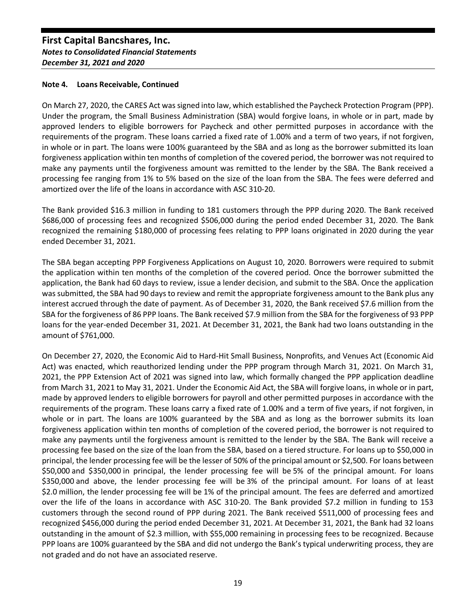## **Note 4. Loans Receivable, Continued**

On March 27, 2020, the CARES Act was signed into law, which established the Paycheck Protection Program (PPP). Under the program, the Small Business Administration (SBA) would forgive loans, in whole or in part, made by approved lenders to eligible borrowers for Paycheck and other permitted purposes in accordance with the requirements of the program. These loans carried a fixed rate of 1.00% and a term of two years, if not forgiven, in whole or in part. The loans were 100% guaranteed by the SBA and as long as the borrower submitted its loan forgiveness application within ten months of completion of the covered period, the borrower was not required to make any payments until the forgiveness amount was remitted to the lender by the SBA. The Bank received a processing fee ranging from 1% to 5% based on the size of the loan from the SBA. The fees were deferred and amortized over the life of the loans in accordance with ASC 310-20.

The Bank provided \$16.3 million in funding to 181 customers through the PPP during 2020. The Bank received \$686,000 of processing fees and recognized \$506,000 during the period ended December 31, 2020. The Bank recognized the remaining \$180,000 of processing fees relating to PPP loans originated in 2020 during the year ended December 31, 2021.

The SBA began accepting PPP Forgiveness Applications on August 10, 2020. Borrowers were required to submit the application within ten months of the completion of the covered period. Once the borrower submitted the application, the Bank had 60 days to review, issue a lender decision, and submit to the SBA. Once the application was submitted, the SBA had 90 days to review and remit the appropriate forgiveness amount to the Bank plus any interest accrued through the date of payment. As of December 31, 2020, the Bank received \$7.6 million from the SBA for the forgiveness of 86 PPP loans. The Bank received \$7.9 million from the SBA for the forgiveness of 93 PPP loans for the year-ended December 31, 2021. At December 31, 2021, the Bank had two loans outstanding in the amount of \$761,000.

On December 27, 2020, the Economic Aid to Hard-Hit Small Business, Nonprofits, and Venues Act (Economic Aid Act) was enacted, which reauthorized lending under the PPP program through March 31, 2021. On March 31, 2021, the PPP Extension Act of 2021 was signed into law, which formally changed the PPP application deadline from March 31, 2021 to May 31, 2021. Under the Economic Aid Act, the SBA will forgive loans, in whole or in part, made by approved lenders to eligible borrowers for payroll and other permitted purposes in accordance with the requirements of the program. These loans carry a fixed rate of 1.00% and a term of five years, if not forgiven, in whole or in part. The loans are 100% guaranteed by the SBA and as long as the borrower submits its loan forgiveness application within ten months of completion of the covered period, the borrower is not required to make any payments until the forgiveness amount is remitted to the lender by the SBA. The Bank will receive a processing fee based on the size of the loan from the SBA, based on a tiered structure. For loans up to \$50,000 in principal, the lender processing fee will be the lesser of 50% of the principal amount or \$2,500. For loans between \$50,000 and \$350,000 in principal, the lender processing fee will be 5% of the principal amount. For loans \$350,000 and above, the lender processing fee will be 3% of the principal amount. For loans of at least \$2.0 million, the lender processing fee will be 1% of the principal amount. The fees are deferred and amortized over the life of the loans in accordance with ASC 310-20. The Bank provided \$7.2 million in funding to 153 customers through the second round of PPP during 2021. The Bank received \$511,000 of processing fees and recognized \$456,000 during the period ended December 31, 2021. At December 31, 2021, the Bank had 32 loans outstanding in the amount of \$2.3 million, with \$55,000 remaining in processing fees to be recognized. Because PPP loans are 100% guaranteed by the SBA and did not undergo the Bank's typical underwriting process, they are not graded and do not have an associated reserve.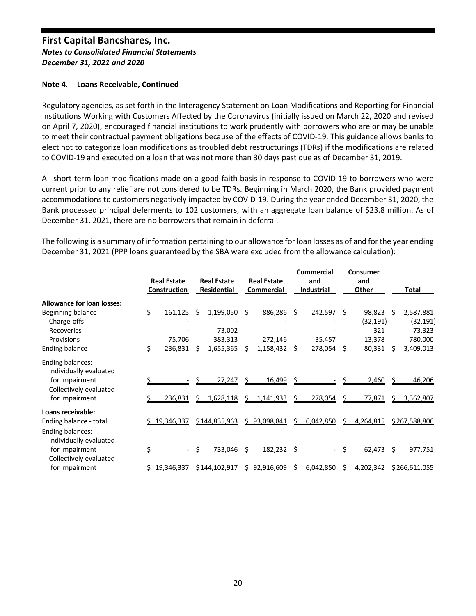## **Note 4. Loans Receivable, Continued**

Regulatory agencies, as set forth in the Interagency Statement on Loan Modifications and Reporting for Financial Institutions Working with Customers Affected by the Coronavirus (initially issued on March 22, 2020 and revised on April 7, 2020), encouraged financial institutions to work prudently with borrowers who are or may be unable to meet their contractual payment obligations because of the effects of COVID-19. This guidance allows banks to elect not to categorize loan modifications as troubled debt restructurings (TDRs) if the modifications are related to COVID-19 and executed on a loan that was not more than 30 days past due as of December 31, 2019.

All short-term loan modifications made on a good faith basis in response to COVID-19 to borrowers who were current prior to any relief are not considered to be TDRs. Beginning in March 2020, the Bank provided payment accommodations to customers negatively impacted by COVID-19. During the year ended December 31, 2020, the Bank processed principal deferments to 102 customers, with an aggregate loan balance of \$23.8 million. As of December 31, 2021, there are no borrowers that remain in deferral.

The following is a summary of information pertaining to our allowance for loan losses as of and for the year ending December 31, 2021 (PPP loans guaranteed by the SBA were excluded from the allowance calculation):

|                                            | <b>Real Estate</b><br>Construction |    | <b>Real Estate</b><br><b>Residential</b> |   | <b>Real Estate</b><br>Commercial |    | <b>Commercial</b><br>and<br>Industrial |    | Consumer<br>and<br>Other |      | Total                  |
|--------------------------------------------|------------------------------------|----|------------------------------------------|---|----------------------------------|----|----------------------------------------|----|--------------------------|------|------------------------|
| <b>Allowance for loan losses:</b>          |                                    |    |                                          |   |                                  |    |                                        |    |                          |      |                        |
| Beginning balance<br>Charge-offs           | \$<br>161,125                      | Ŝ. | 1,199,050                                | Ś | 886,286                          | \$ | 242,597                                | Ŝ. | 98,823<br>(32, 191)      | - \$ | 2,587,881<br>(32, 191) |
| Recoveries                                 |                                    |    | 73,002                                   |   |                                  |    |                                        |    | 321                      |      | 73,323                 |
| Provisions                                 | 75,706                             |    | 383,313                                  |   | 272,146                          |    | 35,457                                 |    | 13,378                   |      | 780,000                |
| <b>Ending balance</b>                      | 236,831                            |    | 1,655,365                                |   | 1,158,432                        |    | 278,054                                |    | 80,331                   |      | 3,409,013              |
| Ending balances:<br>Individually evaluated |                                    |    |                                          |   |                                  |    |                                        |    |                          |      |                        |
| for impairment<br>Collectively evaluated   |                                    |    | 27,247                                   |   | 16,499                           | Ś  |                                        |    | 2,460                    |      | <u>46,206</u>          |
| for impairment                             | 236,831                            |    | 1,628,118                                | S | 1,141,933                        |    | 278,054                                |    | 77,871                   |      | 3,362,807              |
| Loans receivable:                          |                                    |    |                                          |   |                                  |    |                                        |    |                          |      |                        |
| Ending balance - total                     | \$19,346,337                       |    | \$144,835,963                            |   | \$93,098,841                     |    | 6,042,850                              | Ś  | 4,264,815                |      | \$267,588,806          |
| Ending balances:<br>Individually evaluated |                                    |    |                                          |   |                                  |    |                                        |    |                          |      |                        |
| for impairment<br>Collectively evaluated   |                                    |    | 733,046                                  | S | 182,232                          |    |                                        |    | 62,473                   |      | 977,751                |
| for impairment                             | 19,346,337                         |    | <u>\$144,102,917</u>                     |   | 92,916,609                       |    | 6,042,850                              |    | 4,202,342                |      | <u>\$266,611,055</u>   |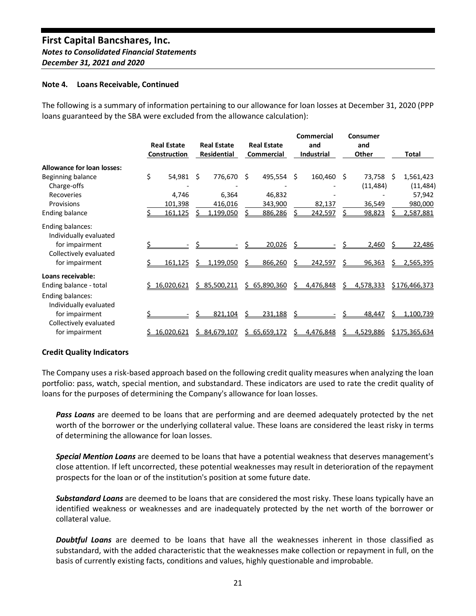#### **Note 4. Loans Receivable, Continued**

The following is a summary of information pertaining to our allowance for loan losses at December 31, 2020 (PPP loans guaranteed by the SBA were excluded from the allowance calculation):

|                                            | <b>Real Estate</b><br>Construction |    | <b>Real Estate</b><br><b>Residential</b> |    | <b>Real Estate</b><br>Commercial |   | Commercial<br>and<br>Industrial |    | Consumer<br>and<br>Other |     | <b>Total</b>           |
|--------------------------------------------|------------------------------------|----|------------------------------------------|----|----------------------------------|---|---------------------------------|----|--------------------------|-----|------------------------|
| <b>Allowance for loan losses:</b>          |                                    |    |                                          |    |                                  |   |                                 |    |                          |     |                        |
| Beginning balance<br>Charge-offs           | \$<br>54,981                       | -Ś | 776,670                                  | Ŝ. | 495,554                          | Ŝ | 160,460                         | Ŝ  | 73,758<br>(11, 484)      | - Ś | 1,561,423<br>(11, 484) |
| Recoveries                                 | 4,746                              |    | 6,364                                    |    | 46,832                           |   |                                 |    |                          |     | 57,942                 |
| Provisions                                 | 101,398                            |    | 416,016                                  |    | 343,900                          |   | 82,137                          |    | 36,549                   |     | 980,000                |
| Ending balance                             | 161,125                            |    | 1,199,050                                |    | 886,286                          |   | 242,597                         |    | 98,823                   |     | 2,587,881              |
| Ending balances:<br>Individually evaluated |                                    |    |                                          |    |                                  |   |                                 |    |                          |     |                        |
| for impairment<br>Collectively evaluated   |                                    |    |                                          |    | 20,026                           |   |                                 |    | 2,460                    |     | 22,486                 |
| for impairment                             | 161,125                            |    | 1,199,050                                |    | 866,260                          |   | 242,597                         |    | <u>96,363</u>            |     | 2,565,395              |
| Loans receivable:                          |                                    |    |                                          |    |                                  |   |                                 |    |                          |     |                        |
| Ending balance - total                     | \$16,020,621                       |    | \$85,500,211                             |    | \$65,890,360                     | S | 4,476,848                       | S. | 4,578,333                |     | \$176,466,373          |
| Ending balances:<br>Individually evaluated |                                    |    |                                          |    |                                  |   |                                 |    |                          |     |                        |
| for impairment<br>Collectively evaluated   |                                    |    | 821,104                                  |    | 231,188                          |   |                                 |    | 48,447                   | s   | 1,100,739              |
| for impairment                             | 16,020,621                         |    | 84,679,107                               | S. | 65,659,172                       |   | 4,476,848                       |    | 4,529,886                |     | \$175,365,634          |

## **Credit Quality Indicators**

The Company uses a risk-based approach based on the following credit quality measures when analyzing the loan portfolio: pass, watch, special mention, and substandard. These indicators are used to rate the credit quality of loans for the purposes of determining the Company's allowance for loan losses.

*Pass Loans* are deemed to be loans that are performing and are deemed adequately protected by the net worth of the borrower or the underlying collateral value. These loans are considered the least risky in terms of determining the allowance for loan losses.

*Special Mention Loans* are deemed to be loans that have a potential weakness that deserves management's close attention. If left uncorrected, these potential weaknesses may result in deterioration of the repayment prospects for the loan or of the institution's position at some future date.

*Substandard Loans* are deemed to be loans that are considered the most risky. These loans typically have an identified weakness or weaknesses and are inadequately protected by the net worth of the borrower or collateral value.

*Doubtful Loans* are deemed to be loans that have all the weaknesses inherent in those classified as substandard, with the added characteristic that the weaknesses make collection or repayment in full, on the basis of currently existing facts, conditions and values, highly questionable and improbable.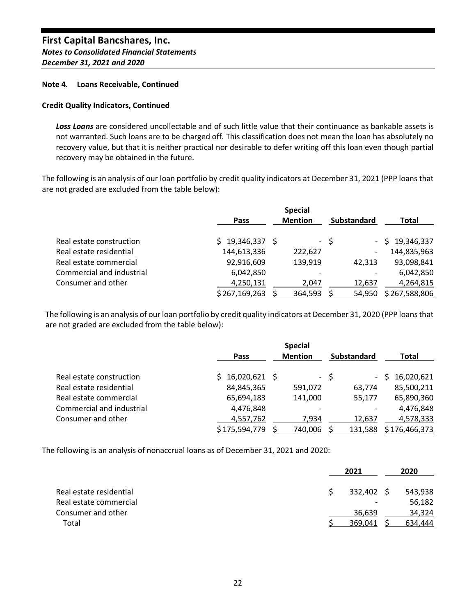#### **Note 4. Loans Receivable, Continued**

## **Credit Quality Indicators, Continued**

*Loss Loans* are considered uncollectable and of such little value that their continuance as bankable assets is not warranted. Such loans are to be charged off. This classification does not mean the loan has absolutely no recovery value, but that it is neither practical nor desirable to defer writing off this loan even though partial recovery may be obtained in the future.

The following is an analysis of our loan portfolio by credit quality indicators at December 31, 2021 (PPP loans that are not graded are excluded from the table below):

|                           |                      | <b>Special</b> |                          |                      |
|---------------------------|----------------------|----------------|--------------------------|----------------------|
|                           | Pass                 | <b>Mention</b> | Substandard              | Total                |
| Real estate construction  | $$19,346,337$ \$     |                | - \$                     | $-$ \$ 19,346,337    |
| Real estate residential   | 144,613,336          | 222,627        | $\overline{\phantom{a}}$ | 144,835,963          |
| Real estate commercial    | 92,916,609           | 139,919        | 42,313                   | 93,098,841           |
| Commercial and industrial | 6,042,850            |                |                          | 6,042,850            |
| Consumer and other        | 4,250,131            | 2,047          | 12,637                   | 4,264,815            |
|                           | <u>\$267,169,263</u> | 364,593        | 54,950                   | <u>\$267,588,806</u> |

The following is an analysis of our loan portfolio by credit quality indicators at December 31, 2020 (PPP loans that are not graded are excluded from the table below):

|                           |                      | <b>Special</b> |                                  |                      |
|---------------------------|----------------------|----------------|----------------------------------|----------------------|
|                           | <b>Pass</b>          | <b>Mention</b> | <b>Substandard</b>               | Total                |
| Real estate construction  | 16,020,621 \$        |                | - \$<br>$\overline{\phantom{a}}$ | 16,020,621           |
| Real estate residential   | 84,845,365           | 591,072        | 63,774                           | 85,500,211           |
| Real estate commercial    | 65,694,183           | 141,000        | 55,177                           | 65,890,360           |
| Commercial and industrial | 4,476,848            |                |                                  | 4,476,848            |
| Consumer and other        | 4,557,762            | 7,934          | 12,637                           | 4,578,333            |
|                           | <u>\$175,594,779</u> | 740,006        | 131,588                          | <u>\$176,466,373</u> |

The following is an analysis of nonaccrual loans as of December 31, 2021 and 2020:

|                         | 2021                     |    | 2020    |
|-------------------------|--------------------------|----|---------|
| Real estate residential | 332,402                  | -S | 543,938 |
| Real estate commercial  | $\overline{\phantom{0}}$ |    | 56,182  |
| Consumer and other      | 36,639                   |    | 34,324  |
| Total                   | 369.041                  |    | 634.444 |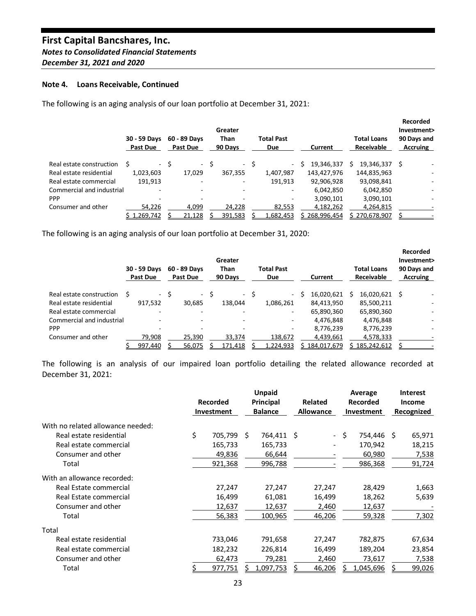#### **Note 4. Loans Receivable, Continued**

The following is an aging analysis of our loan portfolio at December 31, 2021:

|                           | 30 - 59 Days<br>Past Due | 60 - 89 Days<br><b>Past Due</b> | Greater<br><b>Than</b><br>90 Days | <b>Total Past</b><br><b>Due</b> | Current         | <b>Total Loans</b><br><b>Receivable</b> | Recorded<br>Investment><br>90 Days and<br><b>Accruing</b> |
|---------------------------|--------------------------|---------------------------------|-----------------------------------|---------------------------------|-----------------|-----------------------------------------|-----------------------------------------------------------|
| Real estate construction  | S                        | - \$<br>$\sim$ $-$              | Ŝ                                 | - \$<br>$\sim$                  | 19,346,337<br>S | 19,346,337                              | S                                                         |
| Real estate residential   | 1,023,603                | 17,029                          | 367,355                           | 1,407,987                       | 143,427,976     | 144,835,963                             |                                                           |
| Real estate commercial    | 191,913                  |                                 | ۰                                 | 191.913                         | 92,906,928      | 93,098,841                              |                                                           |
| Commercial and industrial | $\overline{\phantom{0}}$ | $\overline{\phantom{0}}$        | ۰                                 |                                 | 6,042,850       | 6,042,850                               |                                                           |
| <b>PPP</b>                |                          |                                 |                                   |                                 | 3,090,101       | 3,090,101                               |                                                           |
| Consumer and other        | 54,226                   | 4,099                           | 24,228                            | 82,553                          | 4,182,262       | 4,264,815                               |                                                           |
|                           | \$1,269,742              | 21,128                          | 391,583                           | 1,682,453                       | 268,996,454     | \$270,678,907                           |                                                           |

The following is an aging analysis of our loan portfolio at December 31, 2020:

|                           | 30 - 59 Days<br>Past Due |      | 60 - 89 Days<br>Past Due | Greater<br><b>Than</b><br>90 Days |      | <b>Total Past</b><br><b>Due</b> | Current     | <b>Total Loans</b><br><b>Receivable</b> | Recorded<br>Investment><br>90 Days and<br><b>Accruing</b> |  |
|---------------------------|--------------------------|------|--------------------------|-----------------------------------|------|---------------------------------|-------------|-----------------------------------------|-----------------------------------------------------------|--|
| Real estate construction  |                          | - \$ | $\sim 100$ km s $^{-1}$  |                                   | - \$ | $\sim$                          | 16,020,621  | 16,020,621 \$                           |                                                           |  |
| Real estate residential   | 917,532                  |      | 30.685                   | 138.044                           |      | 1,086,261                       | 84,413,950  | 85,500,211                              |                                                           |  |
| Real estate commercial    | ۰                        |      | $\overline{\phantom{0}}$ | $\overline{\phantom{0}}$          |      | ٠                               | 65,890,360  | 65,890,360                              |                                                           |  |
| Commercial and industrial | -                        |      |                          | ۰                                 |      |                                 | 4,476,848   | 4,476,848                               |                                                           |  |
| <b>PPP</b>                |                          |      |                          |                                   |      |                                 | 8,776,239   | 8,776,239                               |                                                           |  |
| Consumer and other        | 79.908                   |      | 25.390                   | 33.374                            |      | 138.672                         | 4,439,661   | 4.578.333                               |                                                           |  |
|                           | 997,440                  |      | 56,075                   | 171,418                           |      | 1,224,933                       | 184,017,679 | \$185,242,612                           |                                                           |  |

The following is an analysis of our impaired loan portfolio detailing the related allowance recorded at December 31, 2021:

|                                   | <b>Recorded</b> |            | <b>Unpaid</b><br>Principal |            | <b>Related</b>   |        | Average<br><b>Recorded</b> |            | <b>Interest</b><br><b>Income</b> |               |
|-----------------------------------|-----------------|------------|----------------------------|------------|------------------|--------|----------------------------|------------|----------------------------------|---------------|
|                                   |                 | Investment | <b>Balance</b>             |            | <b>Allowance</b> |        | Investment                 |            | Recognized                       |               |
| With no related allowance needed: |                 |            |                            |            |                  |        |                            |            |                                  |               |
| Real estate residential           | \$              | 705,799    | S.                         | 764,411 \$ |                  |        | - \$                       | 754,446 \$ |                                  | 65,971        |
| Real estate commercial            |                 | 165,733    |                            | 165,733    |                  |        |                            | 170,942    |                                  | 18,215        |
| Consumer and other                |                 | 49,836     |                            | 66,644     |                  |        |                            | 60,980     |                                  | 7,538         |
| Total                             |                 | 921,368    |                            | 996,788    |                  |        |                            | 986,368    |                                  | <u>91,724</u> |
| With an allowance recorded:       |                 |            |                            |            |                  |        |                            |            |                                  |               |
| Real Estate commercial            |                 | 27,247     |                            | 27,247     |                  | 27,247 |                            | 28,429     |                                  | 1,663         |
| Real Estate commercial            |                 | 16,499     |                            | 61,081     |                  | 16,499 |                            | 18,262     |                                  | 5,639         |
| Consumer and other                |                 | 12,637     |                            | 12,637     |                  | 2,460  |                            | 12,637     |                                  |               |
| Total                             |                 | 56,383     |                            | 100,965    |                  | 46,206 |                            | 59,328     |                                  | 7,302         |
| Total                             |                 |            |                            |            |                  |        |                            |            |                                  |               |
| Real estate residential           |                 | 733,046    |                            | 791,658    |                  | 27,247 |                            | 782,875    |                                  | 67,634        |
| Real estate commercial            |                 | 182,232    |                            | 226,814    |                  | 16,499 |                            | 189,204    |                                  | 23,854        |
| Consumer and other                |                 | 62,473     |                            | 79,281     |                  | 2,460  |                            | 73,617     |                                  | 7,538         |
| Total                             |                 | 977,751    |                            | 1,097,753  |                  | 46,206 |                            | 1,045,696  |                                  | 99,026        |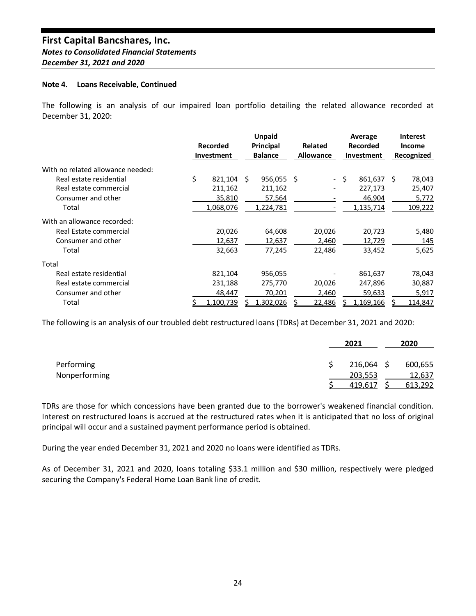#### **Note 4. Loans Receivable, Continued**

The following is an analysis of our impaired loan portfolio detailing the related allowance recorded at December 31, 2020:

|                                   |    | Recorded<br><b>Investment</b> |   | <b>Unpaid</b><br>Principal<br><b>Balance</b> | Related<br><b>Allowance</b> |        | Average<br>Recorded<br>Investment |  | <b>Interest</b><br>Income<br>Recognized |
|-----------------------------------|----|-------------------------------|---|----------------------------------------------|-----------------------------|--------|-----------------------------------|--|-----------------------------------------|
| With no related allowance needed: |    |                               |   |                                              |                             |        |                                   |  |                                         |
| Real estate residential           | Ś. | 821,104                       | S | $956,055$ \$                                 |                             |        | - \$<br>861,637 \$                |  | 78,043                                  |
| Real estate commercial            |    | 211,162                       |   | 211,162                                      |                             |        | 227,173                           |  | 25,407                                  |
| Consumer and other                |    | 35,810                        |   | 57,564                                       |                             |        | 46,904                            |  | 5,772                                   |
| Total                             |    | 1,068,076                     |   | 1,224,781                                    |                             |        | 1,135,714                         |  | 109,222                                 |
| With an allowance recorded:       |    |                               |   |                                              |                             |        |                                   |  |                                         |
| Real Estate commercial            |    | 20,026                        |   | 64,608                                       |                             | 20,026 | 20,723                            |  | 5,480                                   |
| Consumer and other                |    | 12,637                        |   | 12,637                                       |                             | 2,460  | 12,729                            |  | 145                                     |
| Total                             |    | 32,663                        |   | 77,245                                       |                             | 22,486 | 33,452                            |  | 5,625                                   |
| Total                             |    |                               |   |                                              |                             |        |                                   |  |                                         |
| Real estate residential           |    | 821,104                       |   | 956,055                                      |                             |        | 861,637                           |  | 78,043                                  |
| Real estate commercial            |    | 231,188                       |   | 275,770                                      |                             | 20,026 | 247,896                           |  | 30,887                                  |
| Consumer and other                |    | 48,447                        |   | 70,201                                       |                             | 2,460  | 59,633                            |  | 5,917                                   |
| Total                             |    | 1,100,739                     |   | 1,302,026                                    |                             | 22,486 | 1,169,166                         |  | 114,847                                 |

The following is an analysis of our troubled debt restructured loans (TDRs) at December 31, 2021 and 2020:

|               | 2021         | 2020    |
|---------------|--------------|---------|
| Performing    | $216,064$ \$ | 600,655 |
| Nonperforming | 203,553      | 12,637  |
|               | 419,617      | 613,292 |

TDRs are those for which concessions have been granted due to the borrower's weakened financial condition. Interest on restructured loans is accrued at the restructured rates when it is anticipated that no loss of original principal will occur and a sustained payment performance period is obtained.

During the year ended December 31, 2021 and 2020 no loans were identified as TDRs.

As of December 31, 2021 and 2020, loans totaling \$33.1 million and \$30 million, respectively were pledged securing the Company's Federal Home Loan Bank line of credit.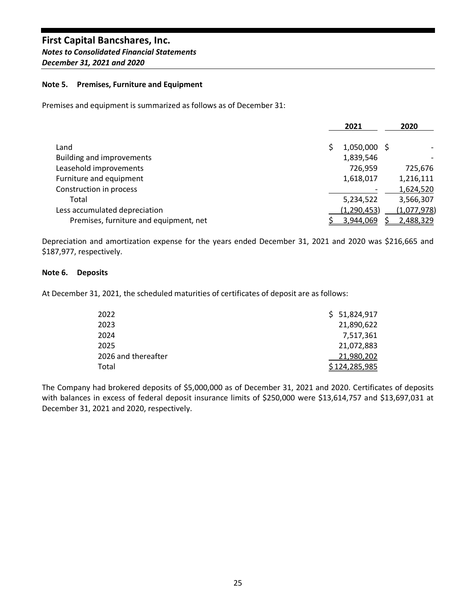## **Note 5. Premises, Furniture and Equipment**

Premises and equipment is summarized as follows as of December 31:

|                                        | 2021          | 2020        |
|----------------------------------------|---------------|-------------|
| Land                                   | 1,050,000 \$  |             |
| <b>Building and improvements</b>       | 1,839,546     |             |
| Leasehold improvements                 | 726,959       | 725,676     |
| Furniture and equipment                | 1,618,017     | 1,216,111   |
| Construction in process                |               | 1,624,520   |
| Total                                  | 5,234,522     | 3,566,307   |
| Less accumulated depreciation          | (1, 290, 453) | (1,077,978) |
| Premises, furniture and equipment, net | 3,944,069     | 2,488,329   |

Depreciation and amortization expense for the years ended December 31, 2021 and 2020 was \$216,665 and \$187,977, respectively.

## **Note 6. Deposits**

At December 31, 2021, the scheduled maturities of certificates of deposit are as follows:

| 2022                | \$51,824,917  |
|---------------------|---------------|
| 2023                | 21,890,622    |
| 2024                | 7,517,361     |
| 2025                | 21,072,883    |
| 2026 and thereafter | 21,980,202    |
| Total               | \$124,285,985 |

The Company had brokered deposits of \$5,000,000 as of December 31, 2021 and 2020. Certificates of deposits with balances in excess of federal deposit insurance limits of \$250,000 were \$13,614,757 and \$13,697,031 at December 31, 2021 and 2020, respectively.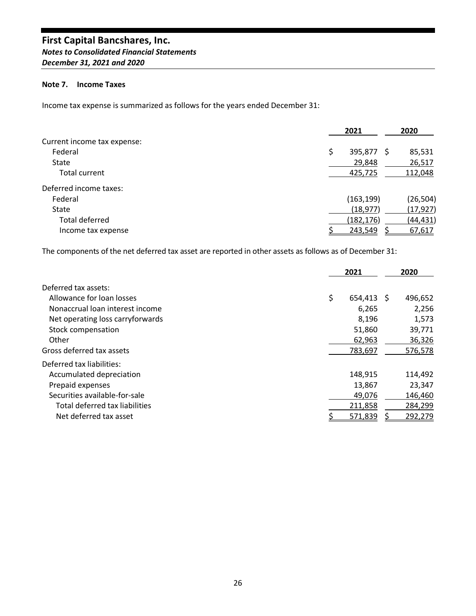## **Note 7. Income Taxes**

Income tax expense is summarized as follows for the years ended December 31:

|                             | 2021             | 2020      |
|-----------------------------|------------------|-----------|
| Current income tax expense: |                  |           |
| Federal                     | \$<br>395,877 \$ | 85,531    |
| State                       | 29,848           | 26,517    |
| Total current               | 425,725          | 112,048   |
| Deferred income taxes:      |                  |           |
| Federal                     | (163, 199)       | (26, 504) |
| State                       | (18, 977)        | (17, 927) |
| Total deferred              | (182, 176)       | (44,431)  |
| Income tax expense          | 243,549          | 67,617    |

The components of the net deferred tax asset are reported in other assets as follows as of December 31:

|                                  | 2021 |         | 2020 |         |
|----------------------------------|------|---------|------|---------|
| Deferred tax assets:             |      |         |      |         |
| Allowance for loan losses        | \$   | 654.413 | -S   | 496,652 |
| Nonaccrual loan interest income  |      | 6,265   |      | 2,256   |
| Net operating loss carryforwards |      | 8,196   |      | 1,573   |
| Stock compensation               |      | 51,860  |      | 39,771  |
| Other                            |      | 62,963  |      | 36,326  |
| Gross deferred tax assets        |      | 783,697 |      | 576,578 |
| Deferred tax liabilities:        |      |         |      |         |
| Accumulated depreciation         |      | 148,915 |      | 114,492 |
| Prepaid expenses                 |      | 13,867  |      | 23,347  |
| Securities available-for-sale    |      | 49,076  |      | 146,460 |
| Total deferred tax liabilities   |      | 211,858 |      | 284,299 |
| Net deferred tax asset           |      | 571,839 |      | 292,279 |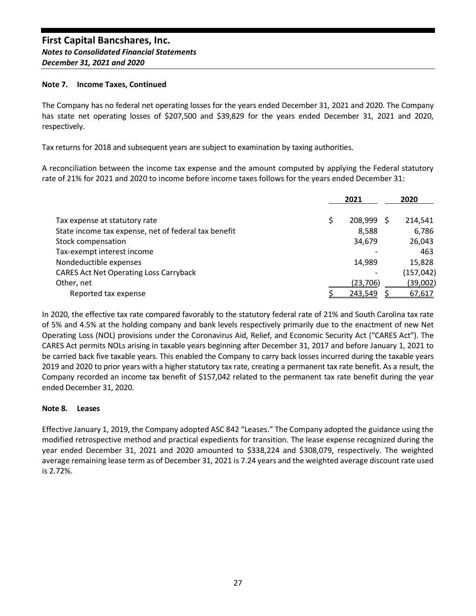## **Note 7. Income Taxes, Continued**

The Company has no federal net operating losses for the years ended December 31, 2021 and 2020. The Company has state net operating losses of \$207,500 and \$39,829 for the years ended December 31, 2021 and 2020, respectively.

Tax returns for 2018 and subsequent years are subject to examination by taxing authorities.

A reconciliation between the income tax expense and the amount computed by applying the Federal statutory rate of 21% for 2021 and 2020 to income before income taxes follows for the years ended December 31:

|                                                      |   | 2021      |  | 2020       |  |
|------------------------------------------------------|---|-----------|--|------------|--|
| Tax expense at statutory rate                        | S | 208,999   |  | 214,541    |  |
| State income tax expense, net of federal tax benefit |   | 8,588     |  | 6,786      |  |
| Stock compensation                                   |   | 34,679    |  | 26,043     |  |
| Tax-exempt interest income                           |   |           |  | 463        |  |
| Nondeductible expenses                               |   | 14,989    |  | 15,828     |  |
| <b>CARES Act Net Operating Loss Carryback</b>        |   |           |  | (157, 042) |  |
| Other, net                                           |   | (23, 706) |  | (39,002)   |  |
| Reported tax expense                                 |   | 243,549   |  | 67,617     |  |

In 2020, the effective tax rate compared favorably to the statutory federal rate of 21% and South Carolina tax rate of 5% and 4.5% at the holding company and bank levels respectively primarily due to the enactment of new Net Operating Loss (NOL) provisions under the Coronavirus Aid, Relief, and Economic Security Act ("CARES Act"). The CARES Act permits NOLs arising in taxable years beginning after December 31, 2017 and before January 1, 2021 to be carried back five taxable years. This enabled the Company to carry back losses incurred during the taxable years 2019 and 2020 to prior years with a higher statutory tax rate, creating a permanent tax rate benefit. As a result, the Company recorded an income tax benefit of \$157,042 related to the permanent tax rate benefit during the year ended December 31, 2020.

## **Note 8. Leases**

Effective January 1, 2019, the Company adopted ASC 842 "Leases." The Company adopted the guidance using the modified retrospective method and practical expedients for transition. The lease expense recognized during the year ended December 31, 2021 and 2020 amounted to \$338,224 and \$308,079, respectively. The weighted average remaining lease term as of December 31, 2021 is 7.24 years and the weighted average discount rate used is 2.72%.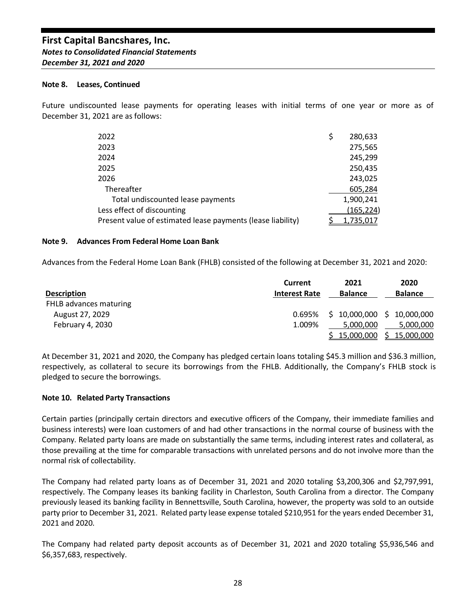#### **Note 8. Leases, Continued**

Future undiscounted lease payments for operating leases with initial terms of one year or more as of December 31, 2021 are as follows:

| 2022                                                        | \$<br>280,633 |
|-------------------------------------------------------------|---------------|
| 2023                                                        | 275,565       |
| 2024                                                        | 245,299       |
| 2025                                                        | 250,435       |
| 2026                                                        | 243,025       |
| Thereafter                                                  | 605,284       |
| Total undiscounted lease payments                           | 1,900,241     |
| Less effect of discounting                                  | (165, 224)    |
| Present value of estimated lease payments (lease liability) | 1,735,017     |

#### **Note 9. Advances From Federal Home Loan Bank**

Advances from the Federal Home Loan Bank (FHLB) consisted of the following at December 31, 2021 and 2020:

|                        | Current              | 2021           | 2020                     |
|------------------------|----------------------|----------------|--------------------------|
| <b>Description</b>     | <b>Interest Rate</b> | <b>Balance</b> | <b>Balance</b>           |
| FHLB advances maturing |                      |                |                          |
| August 27, 2029        | 0.695%               | S.             | 10,000,000 \$ 10,000,000 |
| February 4, 2030       | 1.009%               | 5.000.000      | 5.000.000                |
|                        |                      | \$15,000,000   | <u>\$15,000,000</u>      |

At December 31, 2021 and 2020, the Company has pledged certain loans totaling \$45.3 million and \$36.3 million, respectively, as collateral to secure its borrowings from the FHLB. Additionally, the Company's FHLB stock is pledged to secure the borrowings.

#### **Note 10. Related Party Transactions**

Certain parties (principally certain directors and executive officers of the Company, their immediate families and business interests) were loan customers of and had other transactions in the normal course of business with the Company. Related party loans are made on substantially the same terms, including interest rates and collateral, as those prevailing at the time for comparable transactions with unrelated persons and do not involve more than the normal risk of collectability.

The Company had related party loans as of December 31, 2021 and 2020 totaling \$3,200,306 and \$2,797,991, respectively. The Company leases its banking facility in Charleston, South Carolina from a director. The Company previously leased its banking facility in Bennettsville, South Carolina, however, the property was sold to an outside party prior to December 31, 2021. Related party lease expense totaled \$210,951 for the years ended December 31, 2021 and 2020.

The Company had related party deposit accounts as of December 31, 2021 and 2020 totaling \$5,936,546 and \$6,357,683, respectively.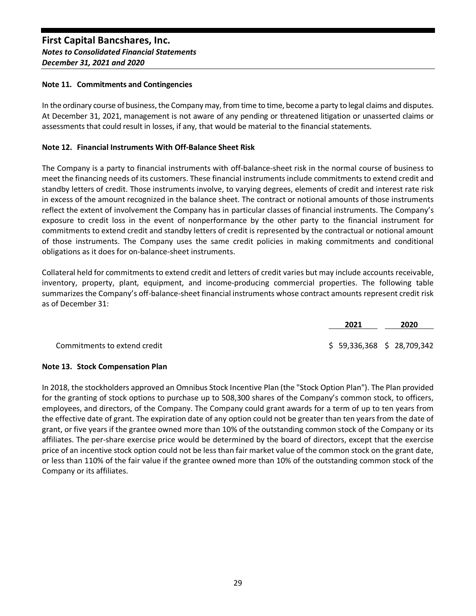## **Note 11. Commitments and Contingencies**

In the ordinary course of business, the Company may, from time to time, become a party to legal claims and disputes. At December 31, 2021, management is not aware of any pending or threatened litigation or unasserted claims or assessments that could result in losses, if any, that would be material to the financial statements.

## **Note 12. Financial Instruments With Off-Balance Sheet Risk**

The Company is a party to financial instruments with off-balance-sheet risk in the normal course of business to meet the financing needs of its customers. These financial instruments include commitments to extend credit and standby letters of credit. Those instruments involve, to varying degrees, elements of credit and interest rate risk in excess of the amount recognized in the balance sheet. The contract or notional amounts of those instruments reflect the extent of involvement the Company has in particular classes of financial instruments. The Company's exposure to credit loss in the event of nonperformance by the other party to the financial instrument for commitments to extend credit and standby letters of credit is represented by the contractual or notional amount of those instruments. The Company uses the same credit policies in making commitments and conditional obligations as it does for on-balance-sheet instruments.

Collateral held for commitments to extend credit and letters of credit varies but may include accounts receivable, inventory, property, plant, equipment, and income-producing commercial properties. The following table summarizes the Company's off-balance-sheet financial instruments whose contract amounts represent credit risk as of December 31:

|                              | 2021                      | 2020 |
|------------------------------|---------------------------|------|
| Commitments to extend credit | \$59,336,368 \$28,709,342 |      |

## **Note 13. Stock Compensation Plan**

In 2018, the stockholders approved an Omnibus Stock Incentive Plan (the "Stock Option Plan"). The Plan provided for the granting of stock options to purchase up to 508,300 shares of the Company's common stock, to officers, employees, and directors, of the Company. The Company could grant awards for a term of up to ten years from the effective date of grant. The expiration date of any option could not be greater than ten years from the date of grant, or five years if the grantee owned more than 10% of the outstanding common stock of the Company or its affiliates. The per-share exercise price would be determined by the board of directors, except that the exercise price of an incentive stock option could not be less than fair market value of the common stock on the grant date, or less than 110% of the fair value if the grantee owned more than 10% of the outstanding common stock of the Company or its affiliates.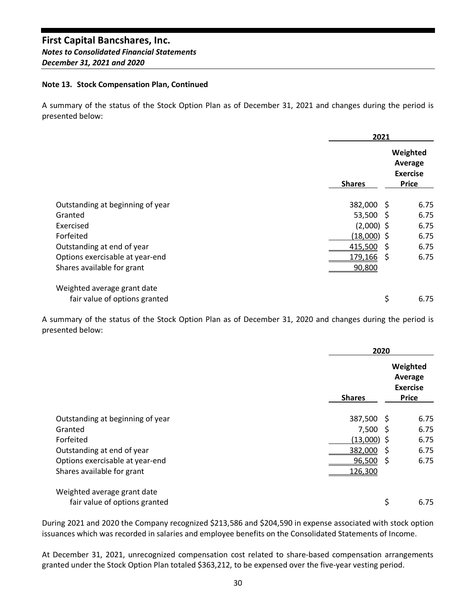## **Note 13. Stock Compensation Plan, Continued**

A summary of the status of the Stock Option Plan as of December 31, 2021 and changes during the period is presented below:

|                                                              | 2021          |                                                        |  |
|--------------------------------------------------------------|---------------|--------------------------------------------------------|--|
|                                                              | <b>Shares</b> | Weighted<br>Average<br><b>Exercise</b><br><b>Price</b> |  |
| Outstanding at beginning of year                             | 382,000       | 6.75<br>- S                                            |  |
| Granted                                                      | 53,500        | 6.75<br>- S                                            |  |
| Exercised                                                    | $(2,000)$ \$  | 6.75                                                   |  |
| Forfeited                                                    | (18,000) \$   | 6.75                                                   |  |
| Outstanding at end of year                                   | 415,500       | 6.75<br>S                                              |  |
| Options exercisable at year-end                              | 179,166       | 6.75<br>S                                              |  |
| Shares available for grant                                   | 90,800        |                                                        |  |
| Weighted average grant date<br>fair value of options granted |               | \$<br>6.75                                             |  |

A summary of the status of the Stock Option Plan as of December 31, 2020 and changes during the period is presented below:

|                                  |               | 2020                                                   |  |  |
|----------------------------------|---------------|--------------------------------------------------------|--|--|
|                                  | <b>Shares</b> | Weighted<br>Average<br><b>Exercise</b><br><b>Price</b> |  |  |
| Outstanding at beginning of year | 387,500       | 6.75<br>- S                                            |  |  |
| Granted                          | 7,500         | 6.75<br><sub>S</sub>                                   |  |  |
| Forfeited                        | (13,000)      | 6.75                                                   |  |  |
| Outstanding at end of year       | 382,000       | 6.75<br>S                                              |  |  |
| Options exercisable at year-end  | 96,500        | 6.75<br>S                                              |  |  |
| Shares available for grant       | 126,300       |                                                        |  |  |
| Weighted average grant date      |               |                                                        |  |  |
| fair value of options granted    |               | \$<br>6.75                                             |  |  |

During 2021 and 2020 the Company recognized \$213,586 and \$204,590 in expense associated with stock option issuances which was recorded in salaries and employee benefits on the Consolidated Statements of Income.

At December 31, 2021, unrecognized compensation cost related to share-based compensation arrangements granted under the Stock Option Plan totaled \$363,212, to be expensed over the five-year vesting period.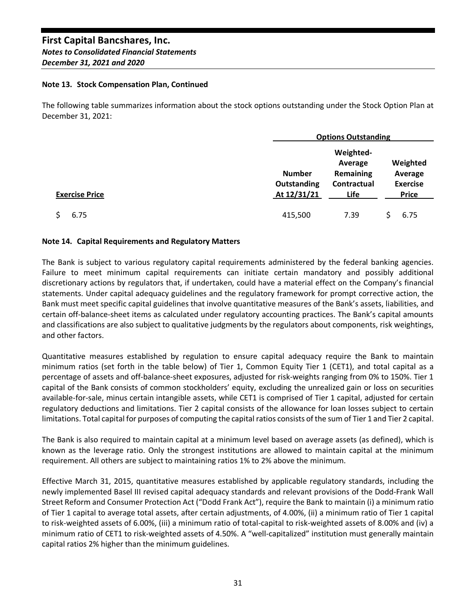## **Note 13. Stock Compensation Plan, Continued**

The following table summarizes information about the stock options outstanding under the Stock Option Plan at December 31, 2021:

|                       | <b>Options Outstanding</b>   |                                                         |  |                                        |
|-----------------------|------------------------------|---------------------------------------------------------|--|----------------------------------------|
|                       | <b>Number</b><br>Outstanding | Weighted-<br>Average<br><b>Remaining</b><br>Contractual |  | Weighted<br>Average<br><b>Exercise</b> |
| <b>Exercise Price</b> | At 12/31/21                  | Life                                                    |  | <b>Price</b>                           |
| 6.75                  | 415,500                      | 7.39                                                    |  | 6.75                                   |

## **Note 14. Capital Requirements and Regulatory Matters**

The Bank is subject to various regulatory capital requirements administered by the federal banking agencies. Failure to meet minimum capital requirements can initiate certain mandatory and possibly additional discretionary actions by regulators that, if undertaken, could have a material effect on the Company's financial statements. Under capital adequacy guidelines and the regulatory framework for prompt corrective action, the Bank must meet specific capital guidelines that involve quantitative measures of the Bank's assets, liabilities, and certain off-balance-sheet items as calculated under regulatory accounting practices. The Bank's capital amounts and classifications are also subject to qualitative judgments by the regulators about components, risk weightings, and other factors.

Quantitative measures established by regulation to ensure capital adequacy require the Bank to maintain minimum ratios (set forth in the table below) of Tier 1, Common Equity Tier 1 (CET1), and total capital as a percentage of assets and off-balance-sheet exposures, adjusted for risk-weights ranging from 0% to 150%. Tier 1 capital of the Bank consists of common stockholders' equity, excluding the unrealized gain or loss on securities available-for-sale, minus certain intangible assets, while CET1 is comprised of Tier 1 capital, adjusted for certain regulatory deductions and limitations. Tier 2 capital consists of the allowance for loan losses subject to certain limitations. Total capital for purposes of computing the capital ratios consists of the sum of Tier 1 and Tier 2 capital.

The Bank is also required to maintain capital at a minimum level based on average assets (as defined), which is known as the leverage ratio. Only the strongest institutions are allowed to maintain capital at the minimum requirement. All others are subject to maintaining ratios 1% to 2% above the minimum.

Effective March 31, 2015, quantitative measures established by applicable regulatory standards, including the newly implemented Basel III revised capital adequacy standards and relevant provisions of the Dodd-Frank Wall Street Reform and Consumer Protection Act ("Dodd Frank Act"), require the Bank to maintain (i) a minimum ratio of Tier 1 capital to average total assets, after certain adjustments, of 4.00%, (ii) a minimum ratio of Tier 1 capital to risk-weighted assets of 6.00%, (iii) a minimum ratio of total-capital to risk-weighted assets of 8.00% and (iv) a minimum ratio of CET1 to risk-weighted assets of 4.50%. A "well-capitalized" institution must generally maintain capital ratios 2% higher than the minimum guidelines.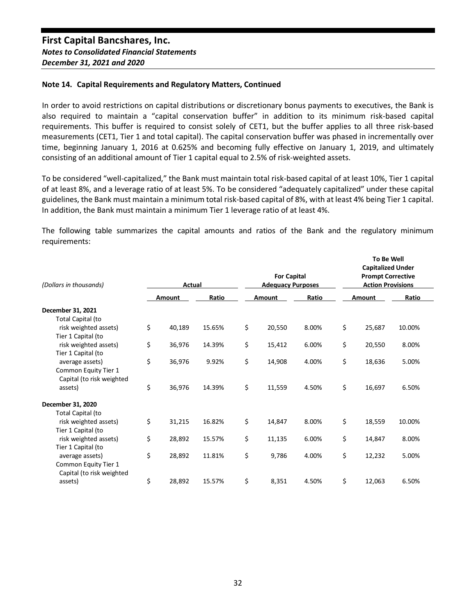#### **Note 14. Capital Requirements and Regulatory Matters, Continued**

In order to avoid restrictions on capital distributions or discretionary bonus payments to executives, the Bank is also required to maintain a "capital conservation buffer" in addition to its minimum risk-based capital requirements. This buffer is required to consist solely of CET1, but the buffer applies to all three risk-based measurements (CET1, Tier 1 and total capital). The capital conservation buffer was phased in incrementally over time, beginning January 1, 2016 at 0.625% and becoming fully effective on January 1, 2019, and ultimately consisting of an additional amount of Tier 1 capital equal to 2.5% of risk-weighted assets.

To be considered "well-capitalized," the Bank must maintain total risk-based capital of at least 10%, Tier 1 capital of at least 8%, and a leverage ratio of at least 5%. To be considered "adequately capitalized" under these capital guidelines, the Bank must maintain a minimum total risk-based capital of 8%, with at least 4% being Tier 1 capital. In addition, the Bank must maintain a minimum Tier 1 leverage ratio of at least 4%.

The following table summarizes the capital amounts and ratios of the Bank and the regulatory minimum requirements:

| (Dollars in thousands)    | Actual       |        | <b>For Capital</b><br><b>Adequacy Purposes</b> |       | <b>To Be Well</b><br><b>Capitalized Under</b><br><b>Prompt Corrective</b><br><b>Action Provisions</b> |        |  |
|---------------------------|--------------|--------|------------------------------------------------|-------|-------------------------------------------------------------------------------------------------------|--------|--|
|                           | Amount       | Ratio  | Amount                                         | Ratio | Amount                                                                                                | Ratio  |  |
| December 31, 2021         |              |        |                                                |       |                                                                                                       |        |  |
| Total Capital (to         |              |        |                                                |       |                                                                                                       |        |  |
| risk weighted assets)     | \$<br>40,189 | 15.65% | \$<br>20,550                                   | 8.00% | \$<br>25,687                                                                                          | 10.00% |  |
| Tier 1 Capital (to        |              |        |                                                |       |                                                                                                       |        |  |
| risk weighted assets)     | \$<br>36,976 | 14.39% | \$<br>15,412                                   | 6.00% | \$<br>20,550                                                                                          | 8.00%  |  |
| Tier 1 Capital (to        |              |        |                                                |       |                                                                                                       |        |  |
| average assets)           | \$<br>36,976 | 9.92%  | \$<br>14,908                                   | 4.00% | \$<br>18,636                                                                                          | 5.00%  |  |
| Common Equity Tier 1      |              |        |                                                |       |                                                                                                       |        |  |
| Capital (to risk weighted |              |        |                                                |       |                                                                                                       |        |  |
| assets)                   | \$<br>36,976 | 14.39% | \$<br>11,559                                   | 4.50% | \$<br>16,697                                                                                          | 6.50%  |  |
| December 31, 2020         |              |        |                                                |       |                                                                                                       |        |  |
| Total Capital (to         |              |        |                                                |       |                                                                                                       |        |  |
| risk weighted assets)     | \$<br>31,215 | 16.82% | \$<br>14,847                                   | 8.00% | \$<br>18,559                                                                                          | 10.00% |  |
| Tier 1 Capital (to        |              |        |                                                |       |                                                                                                       |        |  |
| risk weighted assets)     | \$<br>28,892 | 15.57% | \$<br>11,135                                   | 6.00% | \$<br>14,847                                                                                          | 8.00%  |  |
| Tier 1 Capital (to        |              |        |                                                |       |                                                                                                       |        |  |
| average assets)           | \$<br>28,892 | 11.81% | \$<br>9,786                                    | 4.00% | \$<br>12,232                                                                                          | 5.00%  |  |
| Common Equity Tier 1      |              |        |                                                |       |                                                                                                       |        |  |
| Capital (to risk weighted |              |        |                                                |       |                                                                                                       |        |  |
| assets)                   | \$<br>28,892 | 15.57% | \$<br>8,351                                    | 4.50% | \$<br>12,063                                                                                          | 6.50%  |  |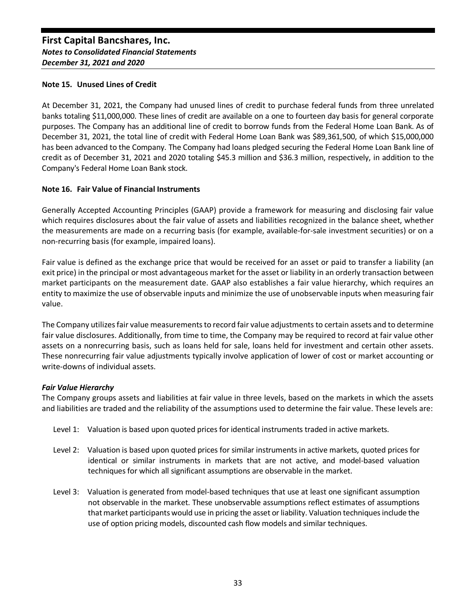## **Note 15. Unused Lines of Credit**

At December 31, 2021, the Company had unused lines of credit to purchase federal funds from three unrelated banks totaling \$11,000,000. These lines of credit are available on a one to fourteen day basis for general corporate purposes. The Company has an additional line of credit to borrow funds from the Federal Home Loan Bank. As of December 31, 2021, the total line of credit with Federal Home Loan Bank was \$89,361,500, of which \$15,000,000 has been advanced to the Company. The Company had loans pledged securing the Federal Home Loan Bank line of credit as of December 31, 2021 and 2020 totaling \$45.3 million and \$36.3 million, respectively, in addition to the Company's Federal Home Loan Bank stock.

## **Note 16. Fair Value of Financial Instruments**

Generally Accepted Accounting Principles (GAAP) provide a framework for measuring and disclosing fair value which requires disclosures about the fair value of assets and liabilities recognized in the balance sheet, whether the measurements are made on a recurring basis (for example, available-for-sale investment securities) or on a non-recurring basis (for example, impaired loans).

Fair value is defined as the exchange price that would be received for an asset or paid to transfer a liability (an exit price) in the principal or most advantageous market for the asset or liability in an orderly transaction between market participants on the measurement date. GAAP also establishes a fair value hierarchy, which requires an entity to maximize the use of observable inputs and minimize the use of unobservable inputs when measuring fair value.

The Company utilizes fair value measurements to record fair value adjustments to certain assets and to determine fair value disclosures. Additionally, from time to time, the Company may be required to record at fair value other assets on a nonrecurring basis, such as loans held for sale, loans held for investment and certain other assets. These nonrecurring fair value adjustments typically involve application of lower of cost or market accounting or write-downs of individual assets.

## *Fair Value Hierarchy*

The Company groups assets and liabilities at fair value in three levels, based on the markets in which the assets and liabilities are traded and the reliability of the assumptions used to determine the fair value. These levels are:

- Level 1: Valuation is based upon quoted prices for identical instruments traded in active markets.
- Level 2: Valuation is based upon quoted prices for similar instruments in active markets, quoted prices for identical or similar instruments in markets that are not active, and model-based valuation techniques for which all significant assumptions are observable in the market.
- Level 3: Valuation is generated from model-based techniques that use at least one significant assumption not observable in the market. These unobservable assumptions reflect estimates of assumptions that market participants would use in pricing the asset or liability. Valuation techniques include the use of option pricing models, discounted cash flow models and similar techniques.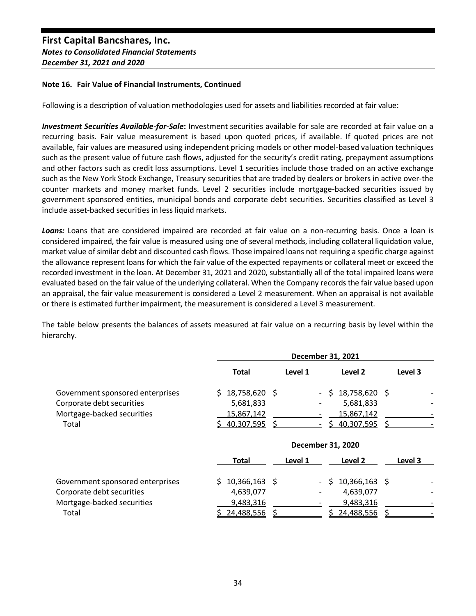## **Note 16. Fair Value of Financial Instruments, Continued**

Following is a description of valuation methodologies used for assets and liabilities recorded at fair value:

*Investment Securities Available-for-Sale***:** Investment securities available for sale are recorded at fair value on a recurring basis. Fair value measurement is based upon quoted prices, if available. If quoted prices are not available, fair values are measured using independent pricing models or other model-based valuation techniques such as the present value of future cash flows, adjusted for the security's credit rating, prepayment assumptions and other factors such as credit loss assumptions. Level 1 securities include those traded on an active exchange such as the New York Stock Exchange, Treasury securities that are traded by dealers or brokers in active over-the counter markets and money market funds. Level 2 securities include mortgage-backed securities issued by government sponsored entities, municipal bonds and corporate debt securities. Securities classified as Level 3 include asset-backed securities in less liquid markets.

*Loans:* Loans that are considered impaired are recorded at fair value on a non-recurring basis. Once a loan is considered impaired, the fair value is measured using one of several methods, including collateral liquidation value, market value of similar debt and discounted cash flows. Those impaired loans not requiring a specific charge against the allowance represent loans for which the fair value of the expected repayments or collateral meet or exceed the recorded investment in the loan. At December 31, 2021 and 2020, substantially all of the total impaired loans were evaluated based on the fair value of the underlying collateral. When the Company records the fair value based upon an appraisal, the fair value measurement is considered a Level 2 measurement. When an appraisal is not available or there is estimated further impairment, the measurement is considered a Level 3 measurement.

The table below presents the balances of assets measured at fair value on a recurring basis by level within the hierarchy.

|                                  |                       |                          | December 31, 2021     |         |
|----------------------------------|-----------------------|--------------------------|-----------------------|---------|
|                                  | Total                 | Level 1                  | Level 2               | Level 3 |
| Government sponsored enterprises | 18,758,620 \$<br>S.   | $\sim$                   | 18,758,620 \$<br>S.   |         |
| Corporate debt securities        | 5,681,833             |                          | 5,681,833             |         |
| Mortgage-backed securities       | 15,867,142            |                          | 15,867,142            |         |
| Total                            | 40,307,595            |                          | 40,307,595 \$<br>ς    |         |
|                                  |                       |                          | December 31, 2020     |         |
|                                  |                       |                          |                       |         |
|                                  | <b>Total</b>          | Level 1                  | Level 2               | Level 3 |
| Government sponsored enterprises | $10,366,163$ \$<br>S. | $\overline{\phantom{0}}$ | $10,366,163$ \$<br>Ŝ. |         |
| Corporate debt securities        | 4,639,077             |                          | 4,639,077             |         |
| Mortgage-backed securities       | 9,483,316             |                          | 9,483,316             |         |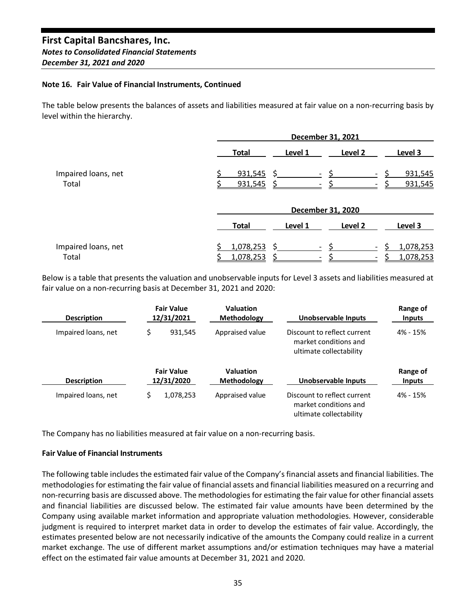#### **Note 16. Fair Value of Financial Instruments, Continued**

The table below presents the balances of assets and liabilities measured at fair value on a non-recurring basis by level within the hierarchy.

|                              | December 31, 2021                                                   |         |  |  |  |
|------------------------------|---------------------------------------------------------------------|---------|--|--|--|
|                              | Level 2<br><b>Total</b><br>Level 1<br>Level 3                       |         |  |  |  |
| Impaired loans, net<br>Total | 931,545<br>$\sim$<br>$\overline{\phantom{a}}$<br>931,545<br>931,545 | 931,545 |  |  |  |
|                              | December 31, 2020                                                   |         |  |  |  |
|                              | Level 2<br><b>Total</b><br>Level 1<br>Level 3                       |         |  |  |  |
| Impaired loans, net<br>Total | 1,078,253<br>1,078,253<br>1,078,253<br>1,078,253                    |         |  |  |  |

Below is a table that presents the valuation and unobservable inputs for Level 3 assets and liabilities measured at fair value on a non-recurring basis at December 31, 2021 and 2020:

| <b>Description</b>  | <b>Fair Value</b><br>12/31/2021 | <b>Valuation</b><br><b>Methodology</b> | Unobservable Inputs                                                             | Range of<br><b>Inputs</b> |
|---------------------|---------------------------------|----------------------------------------|---------------------------------------------------------------------------------|---------------------------|
| Impaired loans, net | \$<br>931.545                   | Appraised value                        | Discount to reflect current<br>market conditions and<br>ultimate collectability | 4% - 15%                  |
| <b>Description</b>  | <b>Fair Value</b><br>12/31/2020 | <b>Valuation</b><br><b>Methodology</b> | Unobservable Inputs                                                             | Range of<br><b>Inputs</b> |
| Impaired loans, net | \$<br>1,078,253                 | Appraised value                        | Discount to reflect current<br>market conditions and<br>ultimate collectability | 4% - 15%                  |

The Company has no liabilities measured at fair value on a non-recurring basis.

## **Fair Value of Financial Instruments**

The following table includes the estimated fair value of the Company's financial assets and financial liabilities. The methodologies for estimating the fair value of financial assets and financial liabilities measured on a recurring and non-recurring basis are discussed above. The methodologies for estimating the fair value for other financial assets and financial liabilities are discussed below. The estimated fair value amounts have been determined by the Company using available market information and appropriate valuation methodologies. However, considerable judgment is required to interpret market data in order to develop the estimates of fair value. Accordingly, the estimates presented below are not necessarily indicative of the amounts the Company could realize in a current market exchange. The use of different market assumptions and/or estimation techniques may have a material effect on the estimated fair value amounts at December 31, 2021 and 2020.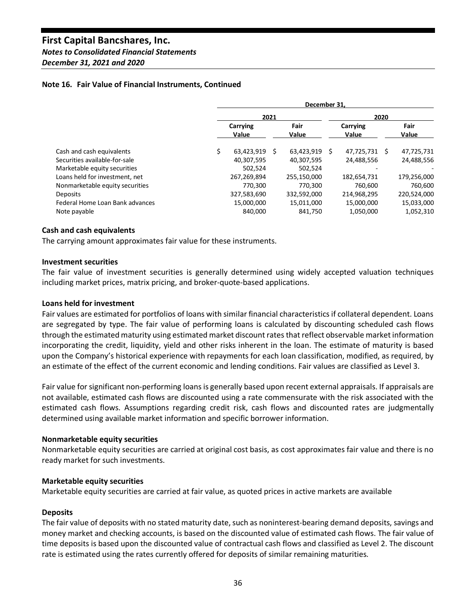# *Notes to Consolidated Financial Statements*

*December 31, 2021 and 2020*

## **Note 16. Fair Value of Financial Instruments, Continued**

|                                 | December 31.      |   |               |    |                   |   |               |
|---------------------------------|-------------------|---|---------------|----|-------------------|---|---------------|
|                                 | 2021              |   |               |    | 2020              |   |               |
|                                 | Carrying<br>Value |   | Fair<br>Value |    | Carrying<br>Value |   | Fair<br>Value |
| Cash and cash equivalents<br>\$ | 63,423,919        | Ś | 63,423,919    | Ŝ. | 47,725,731        | S | 47,725,731    |
| Securities available-for-sale   | 40,307,595        |   | 40,307,595    |    | 24,488,556        |   | 24,488,556    |
| Marketable equity securities    | 502.524           |   | 502,524       |    |                   |   |               |
| Loans held for investment, net  | 267,269,894       |   | 255,150,000   |    | 182,654,731       |   | 179,256,000   |
| Nonmarketable equity securities | 770.300           |   | 770.300       |    | 760,600           |   | 760,600       |
| <b>Deposits</b>                 | 327,583,690       |   | 332,592,000   |    | 214,968,295       |   | 220,524,000   |
| Federal Home Loan Bank advances | 15,000,000        |   | 15,011,000    |    | 15,000,000        |   | 15,033,000    |
| Note payable                    | 840.000           |   | 841,750       |    | 1,050,000         |   | 1,052,310     |

## **Cash and cash equivalents**

The carrying amount approximates fair value for these instruments.

## **Investment securities**

The fair value of investment securities is generally determined using widely accepted valuation techniques including market prices, matrix pricing, and broker-quote-based applications.

## **Loans held for investment**

Fair values are estimated for portfolios of loans with similar financial characteristics if collateral dependent. Loans are segregated by type. The fair value of performing loans is calculated by discounting scheduled cash flows through the estimated maturity using estimated market discount rates that reflect observable market information incorporating the credit, liquidity, yield and other risks inherent in the loan. The estimate of maturity is based upon the Company's historical experience with repayments for each loan classification, modified, as required, by an estimate of the effect of the current economic and lending conditions. Fair values are classified as Level 3.

Fair value for significant non-performing loans is generally based upon recent external appraisals. If appraisals are not available, estimated cash flows are discounted using a rate commensurate with the risk associated with the estimated cash flows. Assumptions regarding credit risk, cash flows and discounted rates are judgmentally determined using available market information and specific borrower information.

#### **Nonmarketable equity securities**

Nonmarketable equity securities are carried at original cost basis, as cost approximates fair value and there is no ready market for such investments.

## **Marketable equity securities**

Marketable equity securities are carried at fair value, as quoted prices in active markets are available

#### **Deposits**

The fair value of deposits with no stated maturity date, such as noninterest-bearing demand deposits, savings and money market and checking accounts, is based on the discounted value of estimated cash flows. The fair value of time deposits is based upon the discounted value of contractual cash flows and classified as Level 2. The discount rate is estimated using the rates currently offered for deposits of similar remaining maturities.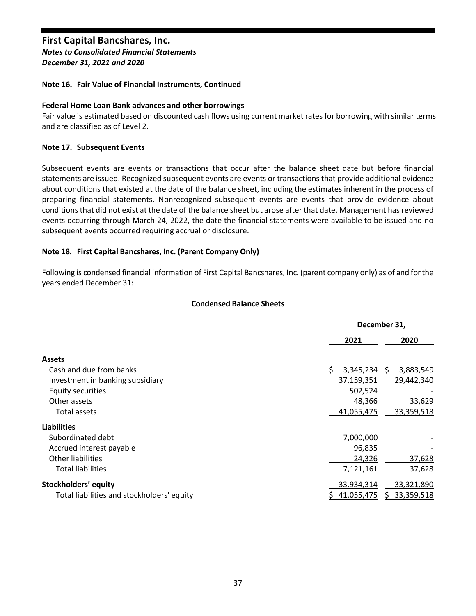## **Note 16. Fair Value of Financial Instruments, Continued**

## **Federal Home Loan Bank advances and other borrowings**

Fair value is estimated based on discounted cash flows using current market rates for borrowing with similar terms and are classified as of Level 2.

## **Note 17. Subsequent Events**

Subsequent events are events or transactions that occur after the balance sheet date but before financial statements are issued. Recognized subsequent events are events or transactions that provide additional evidence about conditions that existed at the date of the balance sheet, including the estimates inherent in the process of preparing financial statements. Nonrecognized subsequent events are events that provide evidence about conditions that did not exist at the date of the balance sheet but arose after that date. Management has reviewed events occurring through March 24, 2022, the date the financial statements were available to be issued and no subsequent events occurred requiring accrual or disclosure.

## **Note 18. First Capital Bancshares, Inc. (Parent Company Only)**

Following is condensed financial information of First Capital Bancshares, Inc. (parent company only) as of and for the years ended December 31:

## **Condensed Balance Sheets**

|                                            | December 31,    |                 |  |
|--------------------------------------------|-----------------|-----------------|--|
|                                            | 2021            | 2020            |  |
| <b>Assets</b>                              |                 |                 |  |
| Cash and due from banks                    | \$<br>3,345,234 | 3,883,549<br>S. |  |
| Investment in banking subsidiary           | 37,159,351      | 29,442,340      |  |
| <b>Equity securities</b>                   | 502,524         |                 |  |
| Other assets                               | 48,366          | 33,629          |  |
| <b>Total assets</b>                        | 41,055,475      | 33,359,518      |  |
| <b>Liabilities</b>                         |                 |                 |  |
| Subordinated debt                          | 7,000,000       |                 |  |
| Accrued interest payable                   | 96,835          |                 |  |
| Other liabilities                          | 24,326          | 37,628          |  |
| Total liabilities                          | 7,121,161       | 37,628          |  |
| Stockholders' equity                       | 33,934,314      | 33,321,890      |  |
| Total liabilities and stockholders' equity | 41,055,475      | \$ 33,359,518   |  |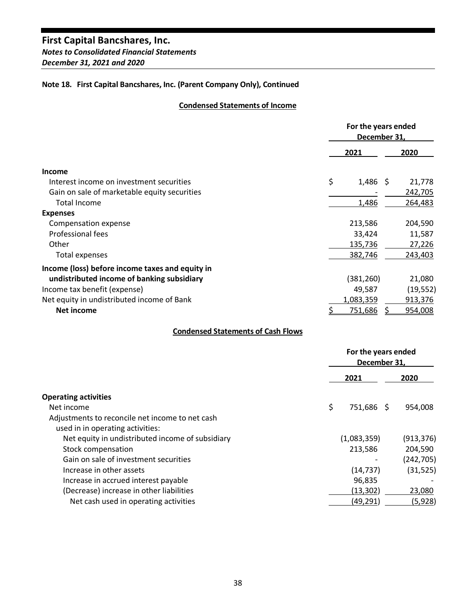*Notes to Consolidated Financial Statements December 31, 2021 and 2020*

## **Note 18. First Capital Bancshares, Inc. (Parent Company Only), Continued**

## **Condensed Statements of Income**

|                                                 | For the years ended<br>December 31, |                |  |           |
|-------------------------------------------------|-------------------------------------|----------------|--|-----------|
|                                                 |                                     | 2021           |  | 2020      |
| Income                                          |                                     |                |  |           |
| Interest income on investment securities        | \$                                  | $1,486$ \$     |  | 21,778    |
| Gain on sale of marketable equity securities    |                                     |                |  | 242,705   |
| <b>Total Income</b>                             |                                     | 1,486          |  | 264,483   |
| <b>Expenses</b>                                 |                                     |                |  |           |
| Compensation expense                            |                                     | 213,586        |  | 204,590   |
| Professional fees                               |                                     | 33,424         |  | 11,587    |
| Other                                           |                                     | 135,736        |  | 27,226    |
| Total expenses                                  |                                     | 382,746        |  | 243,403   |
| Income (loss) before income taxes and equity in |                                     |                |  |           |
| undistributed income of banking subsidiary      |                                     | (381,260)      |  | 21,080    |
| Income tax benefit (expense)                    |                                     | 49,587         |  | (19, 552) |
| Net equity in undistributed income of Bank      |                                     | 1,083,359      |  | 913,376   |
| Net income                                      |                                     | <u>751,686</u> |  | 954,008   |

## **Condensed Statements of Cash Flows**

|                                                  | For the years ended<br>December 31, |             |  |            |
|--------------------------------------------------|-------------------------------------|-------------|--|------------|
|                                                  |                                     | 2021        |  | 2020       |
| <b>Operating activities</b>                      |                                     |             |  |            |
| Net income                                       | \$                                  | 751,686 \$  |  | 954,008    |
| Adjustments to reconcile net income to net cash  |                                     |             |  |            |
| used in in operating activities:                 |                                     |             |  |            |
| Net equity in undistributed income of subsidiary |                                     | (1,083,359) |  | (913, 376) |
| Stock compensation                               |                                     | 213,586     |  | 204,590    |
| Gain on sale of investment securities            |                                     |             |  | (242, 705) |
| Increase in other assets                         |                                     | (14, 737)   |  | (31, 525)  |
| Increase in accrued interest payable             |                                     | 96,835      |  |            |
| (Decrease) increase in other liabilities         |                                     | (13, 302)   |  | 23,080     |
| Net cash used in operating activities            |                                     | (49,291)    |  | (5,928)    |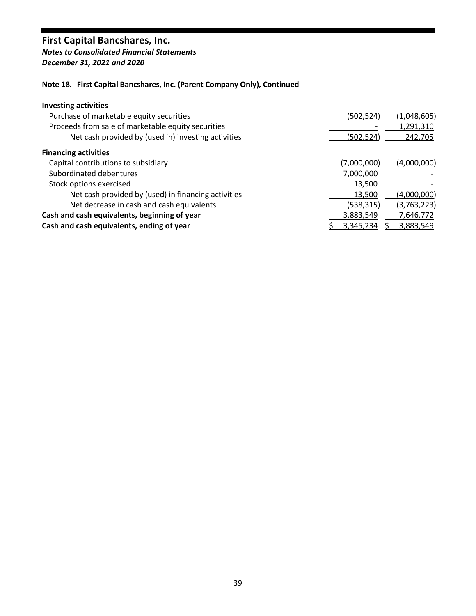# *Notes to Consolidated Financial Statements December 31, 2021 and 2020*

# **Note 18. First Capital Bancshares, Inc. (Parent Company Only), Continued**

# **Investing activities**

| Purchase of marketable equity securities            | (502, 524)  | (1,048,605) |
|-----------------------------------------------------|-------------|-------------|
| Proceeds from sale of marketable equity securities  |             | 1,291,310   |
| Net cash provided by (used in) investing activities | (502,524)   | 242,705     |
| <b>Financing activities</b>                         |             |             |
| Capital contributions to subsidiary                 | (7,000,000) | (4,000,000) |
| Subordinated debentures                             | 7,000,000   |             |
| Stock options exercised                             | 13,500      |             |
| Net cash provided by (used) in financing activities | 13,500      | (4,000,000) |
| Net decrease in cash and cash equivalents           | (538, 315)  | (3,763,223) |
| Cash and cash equivalents, beginning of year        | 3,883,549   | 7,646,772   |
| Cash and cash equivalents, ending of year           | 3,345,234   | 3,883,549   |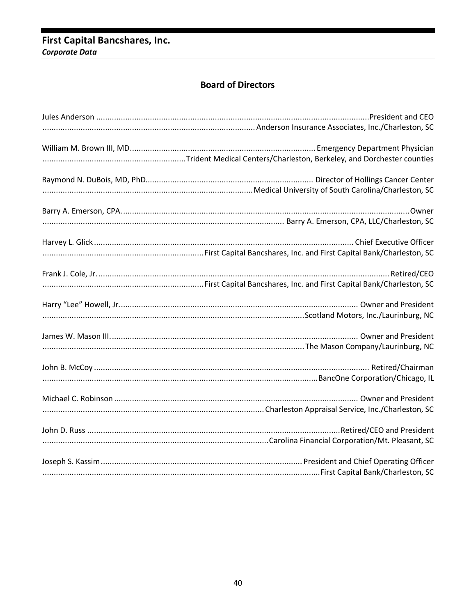# First Capital Bancshares, Inc. Corporate Data

# **Board of Directors**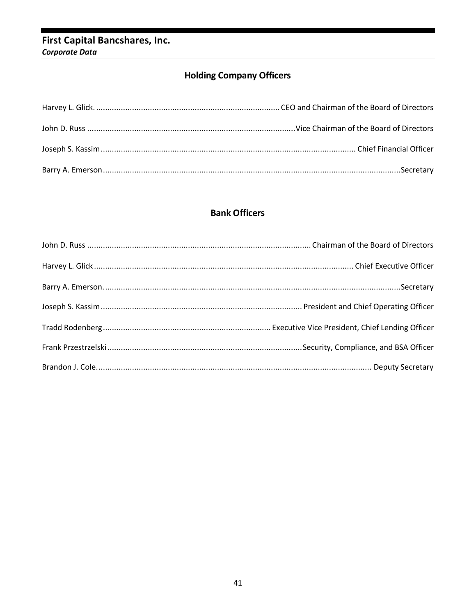# First Capital Bancshares, Inc. Corporate Data

# **Holding Company Officers**

# **Bank Officers**